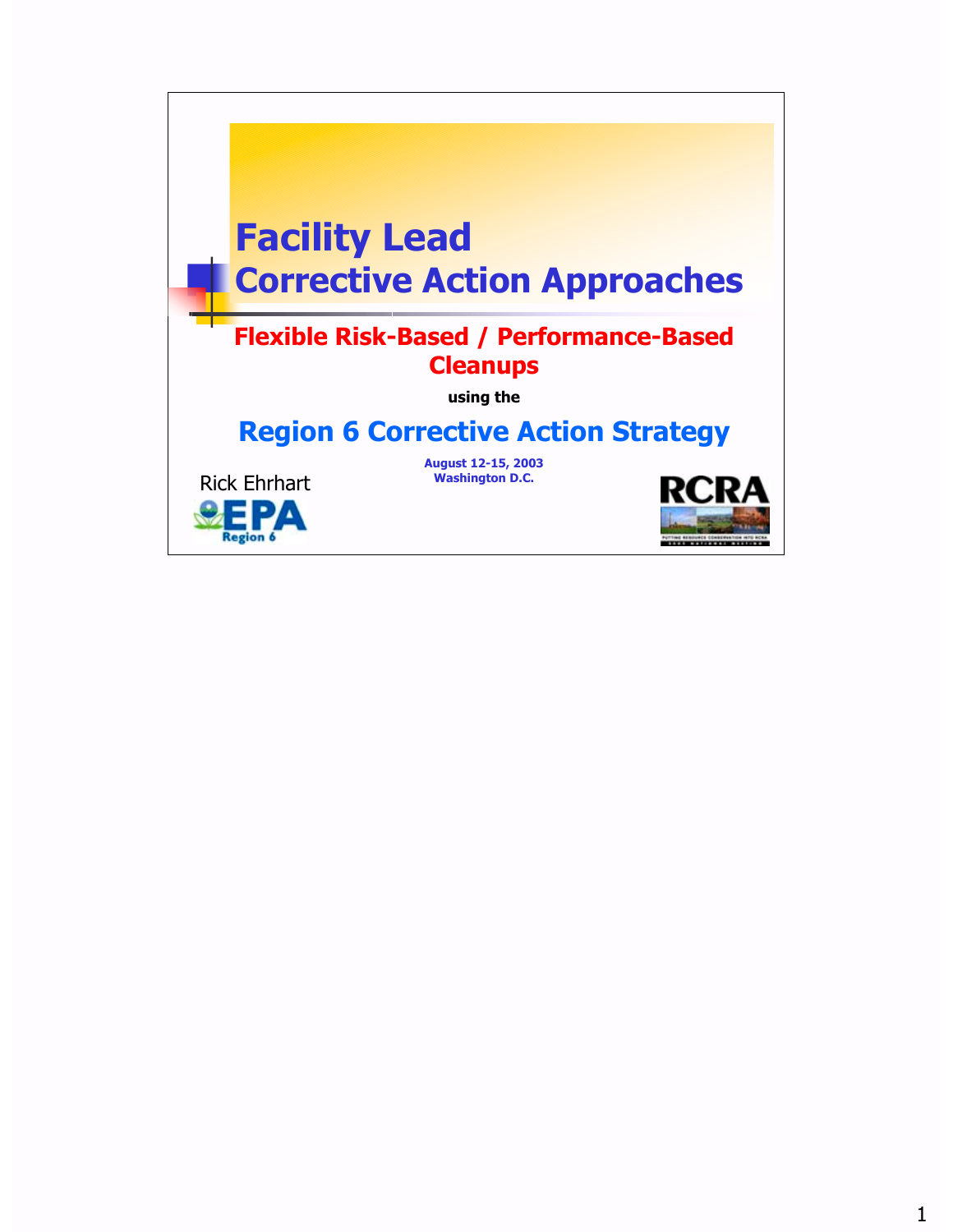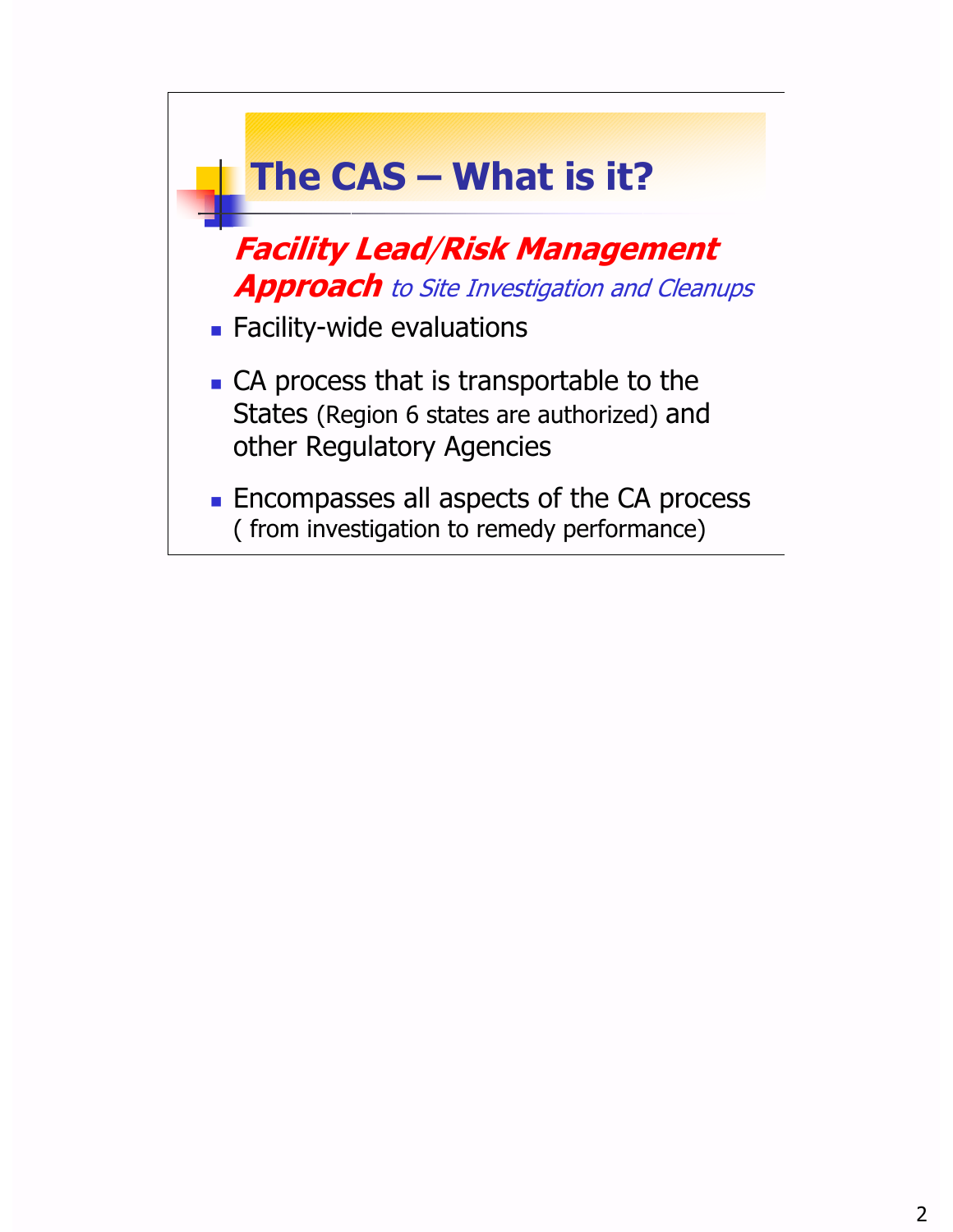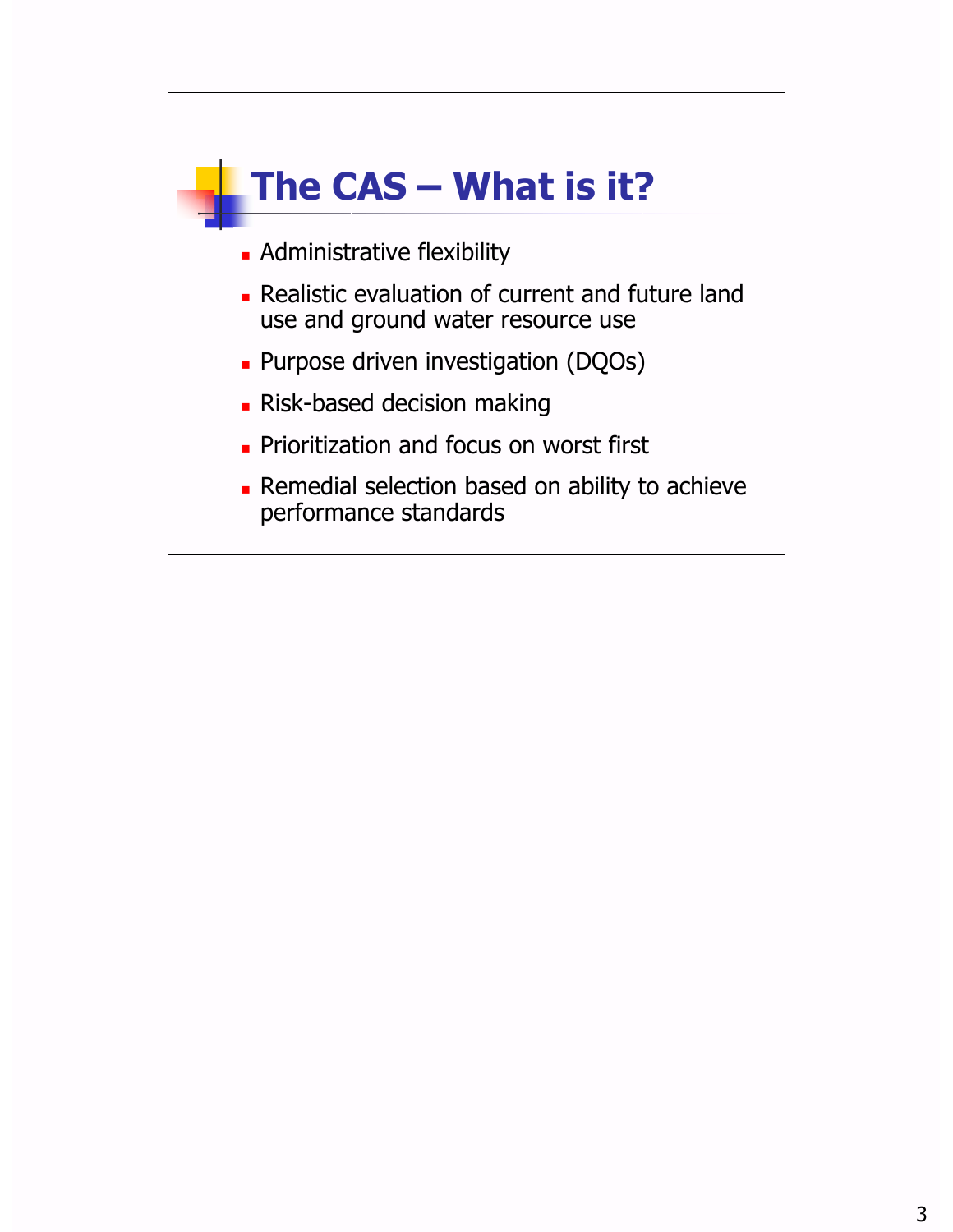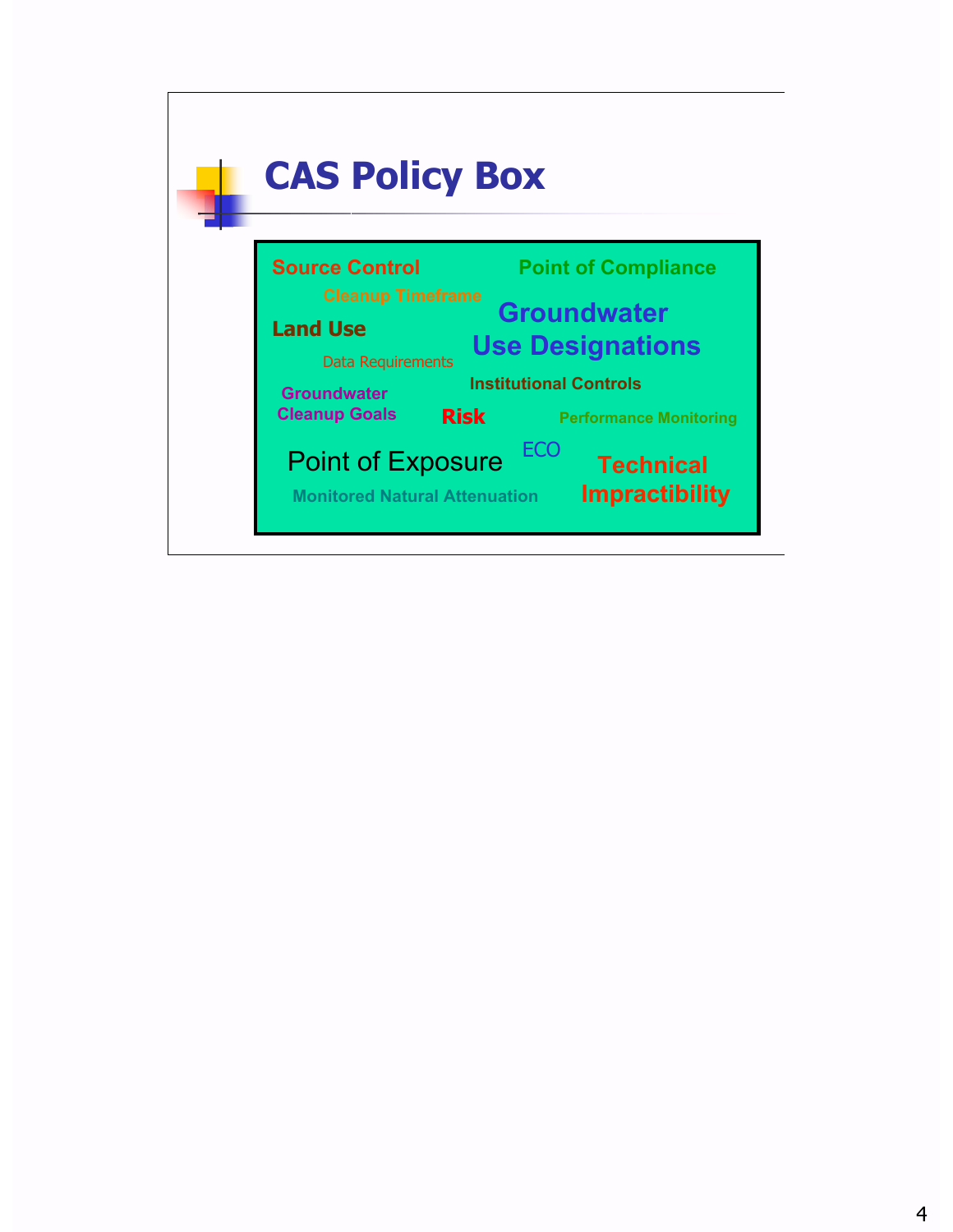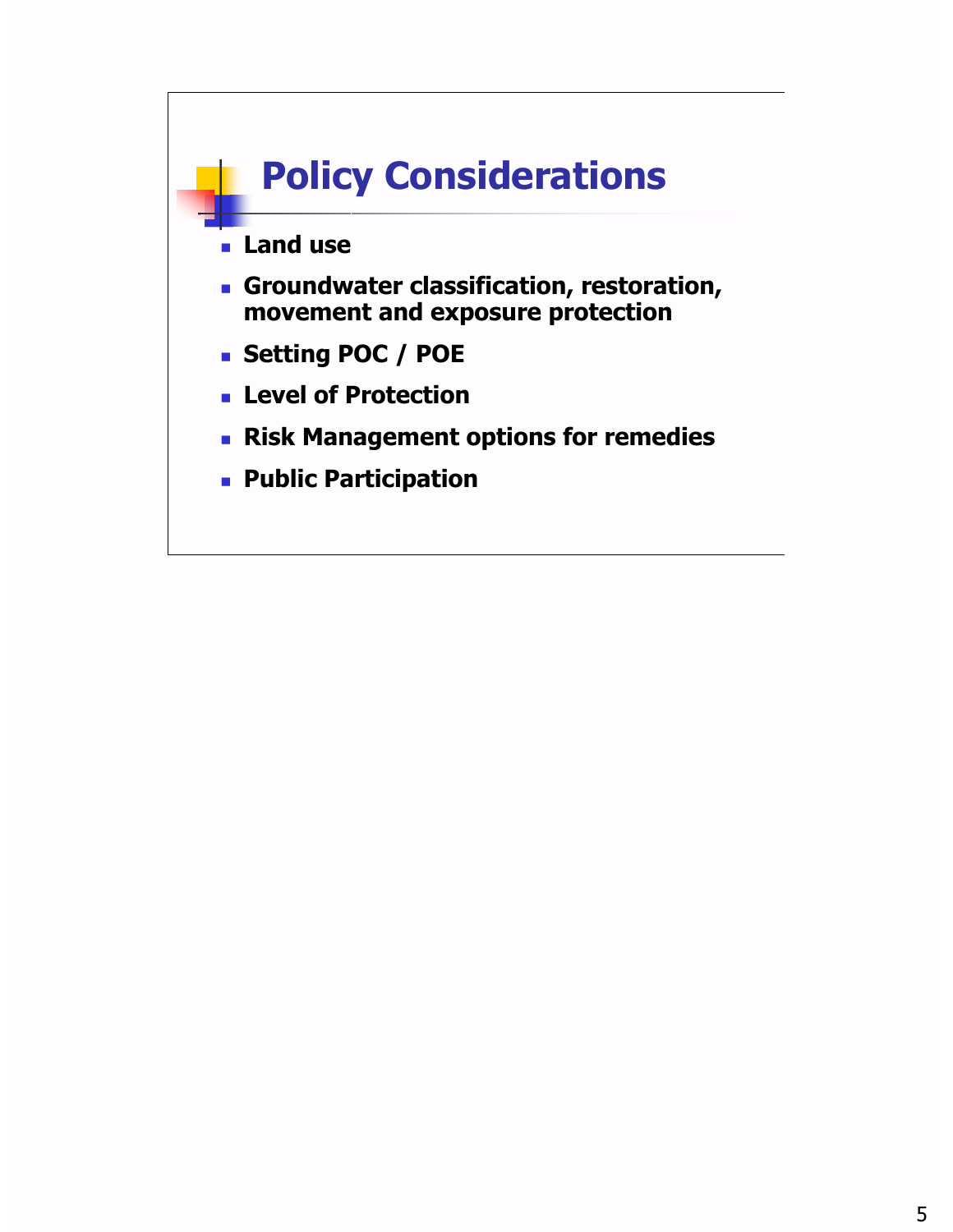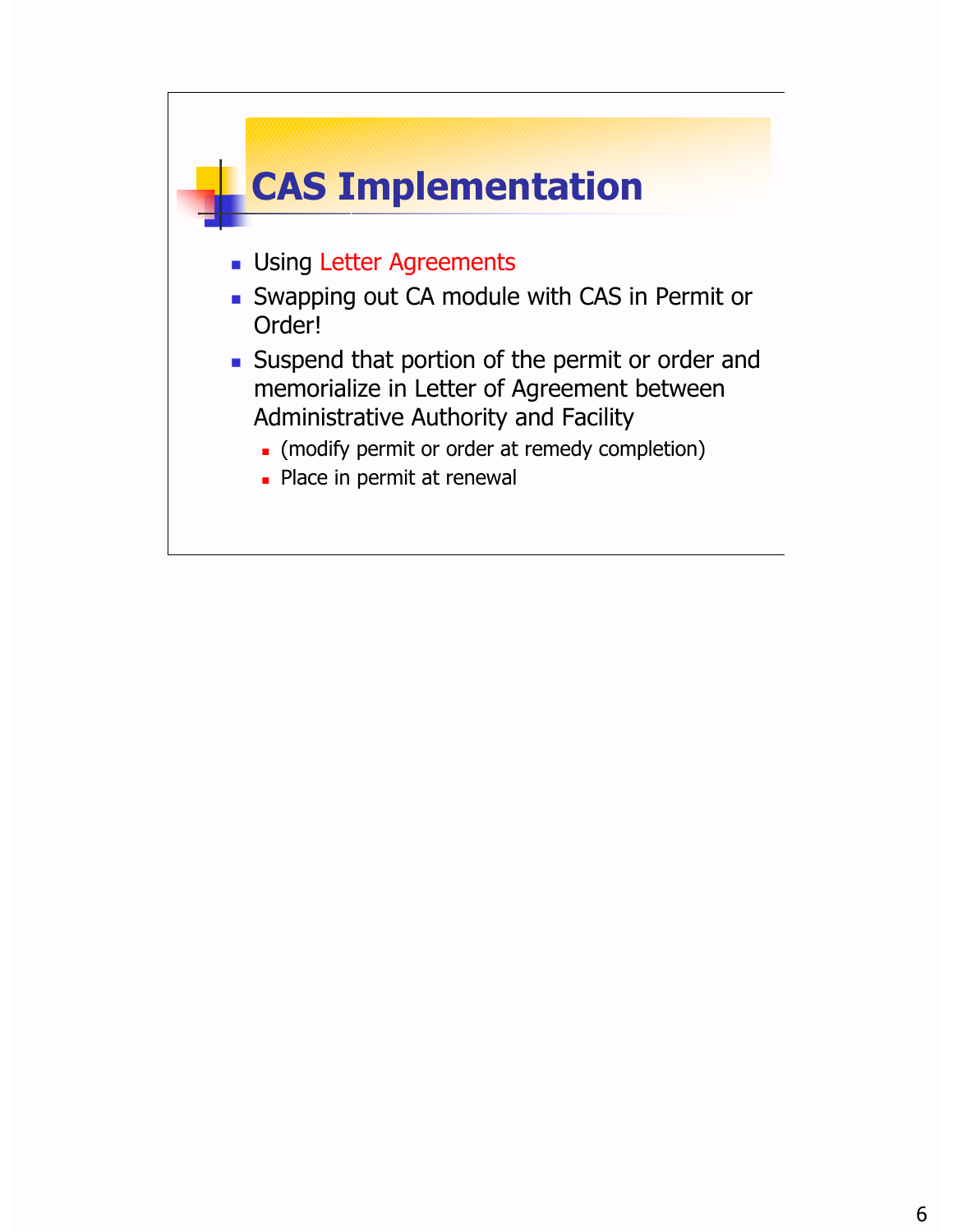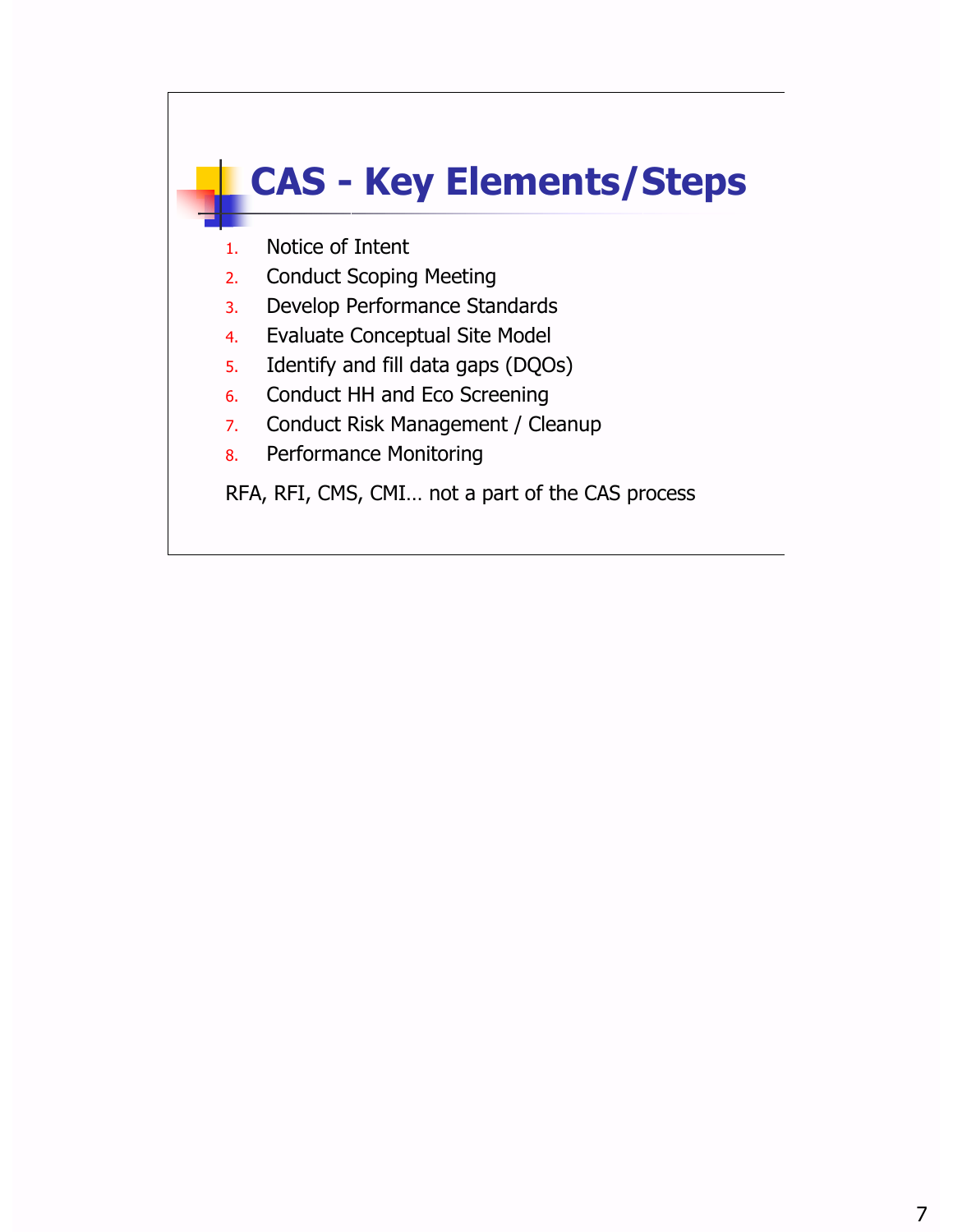## **CAS - Key Elements/Steps**

- 1. Notice of Intent
- 2. Conduct Scoping Meeting
- 3. Develop Performance Standards
- 4. Evaluate Conceptual Site Model
- 5. Identify and fill data gaps (DQOs)
- 6. Conduct HH and Eco Screening
- 7. Conduct Risk Management / Cleanup
- 8. Performance Monitoring

RFA, RFI, CMS, CMI… not a part of the CAS process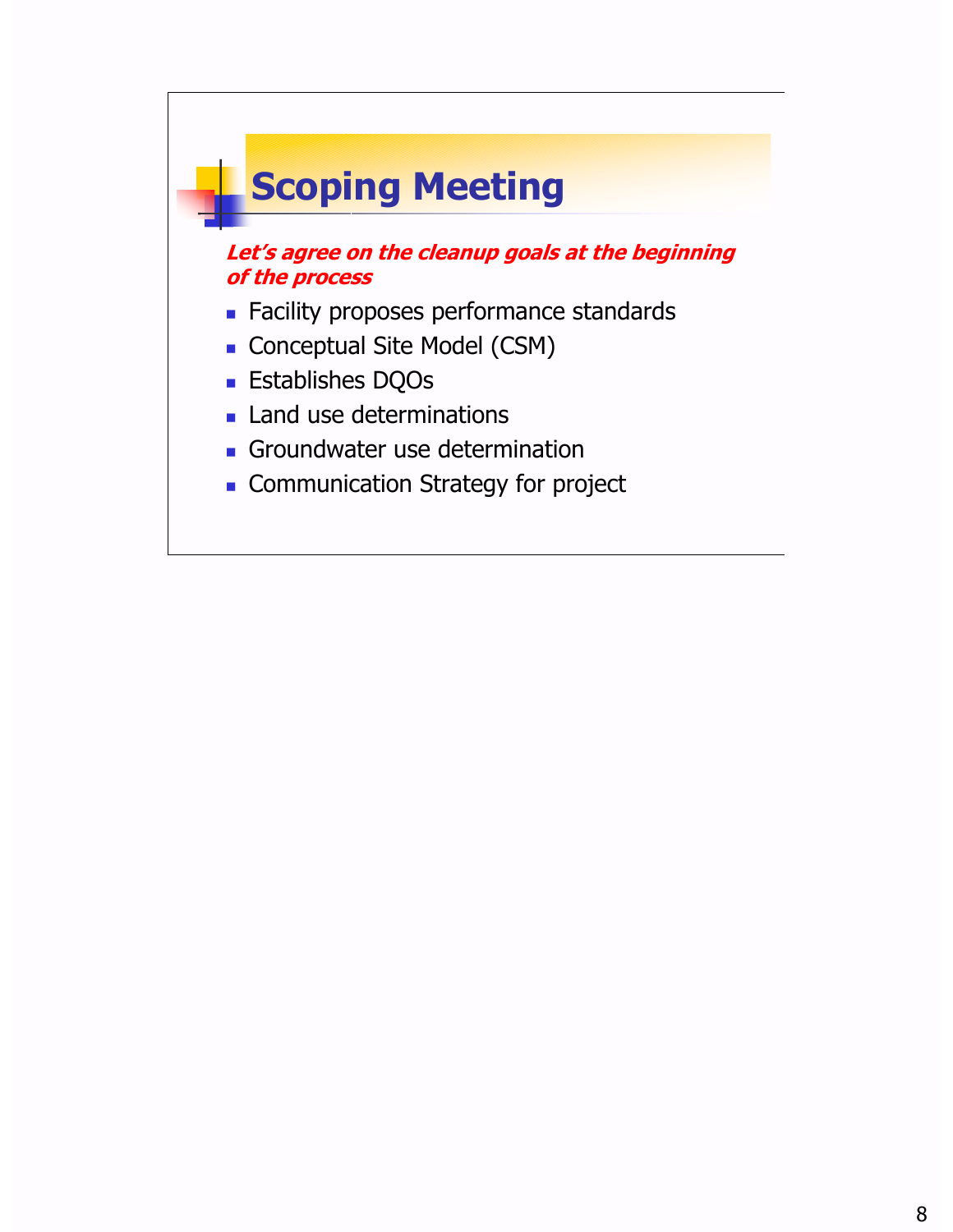# **Scoping Meeting**

#### **Let's agree on the cleanup goals at the beginning of the process**

- **Example 2** Facility proposes performance standards
- Conceptual Site Model (CSM)
- ¢ Establishes DQOs
- **Example 13 Land use determinations**
- **Groundwater use determination**
- **Ex Communication Strategy for project**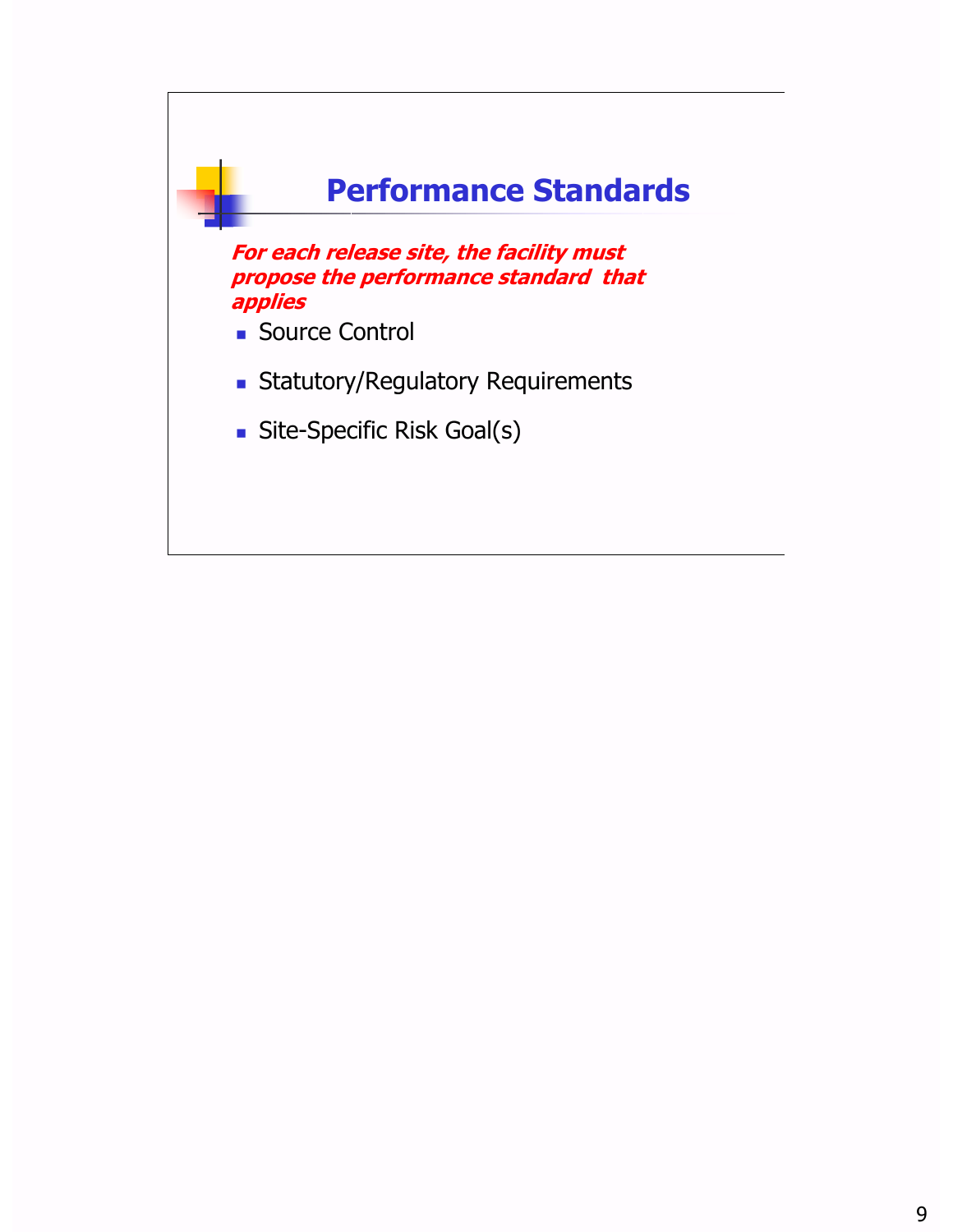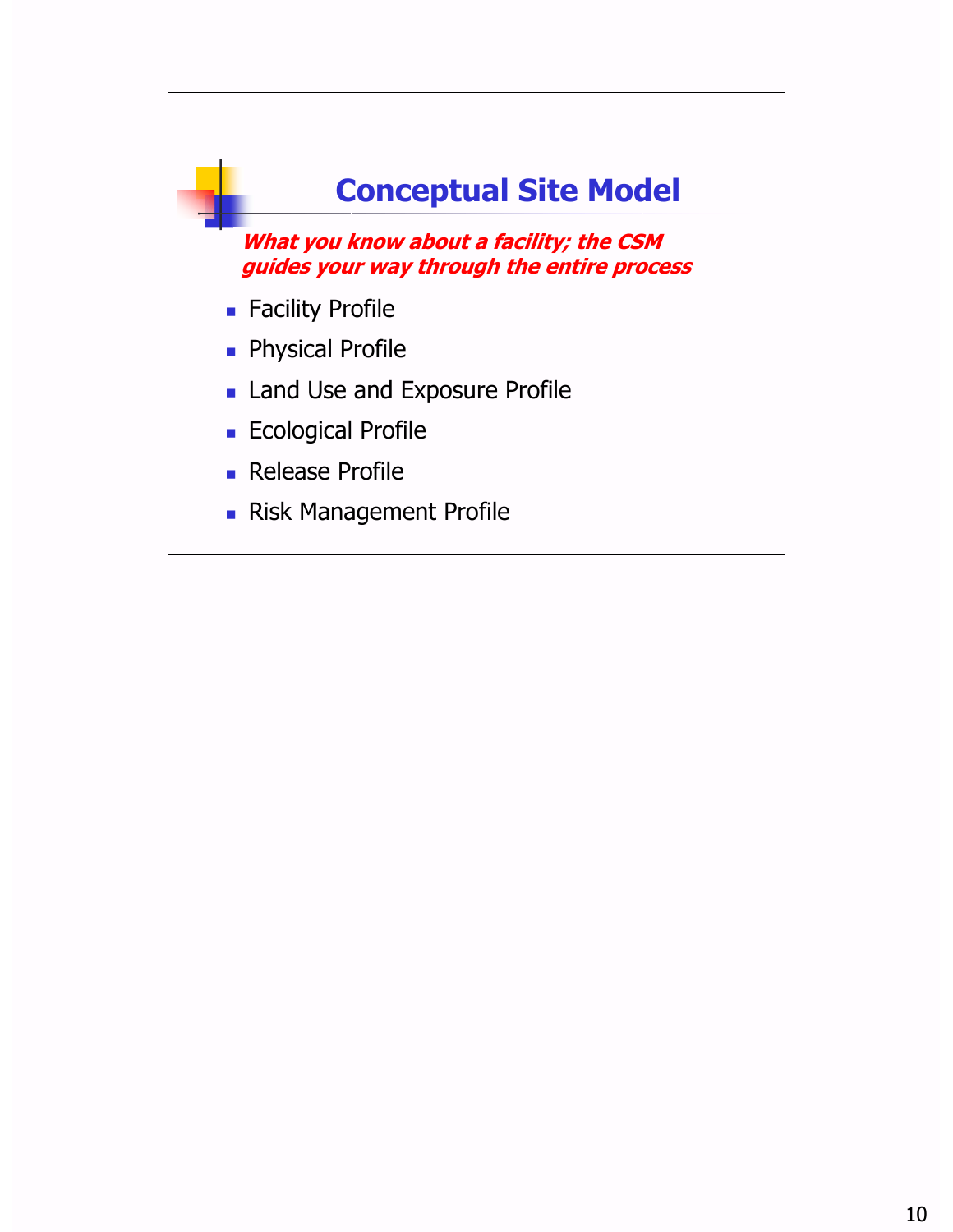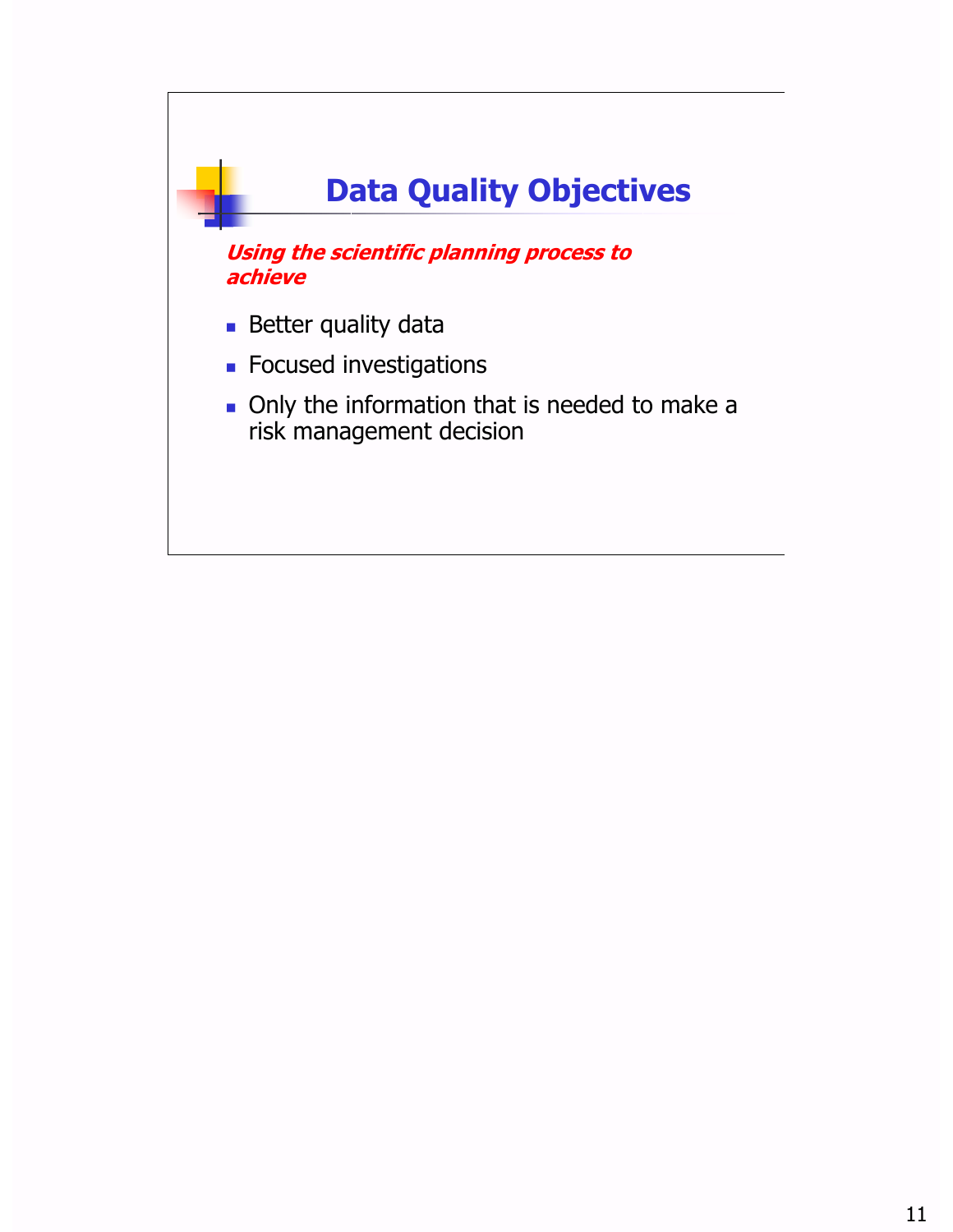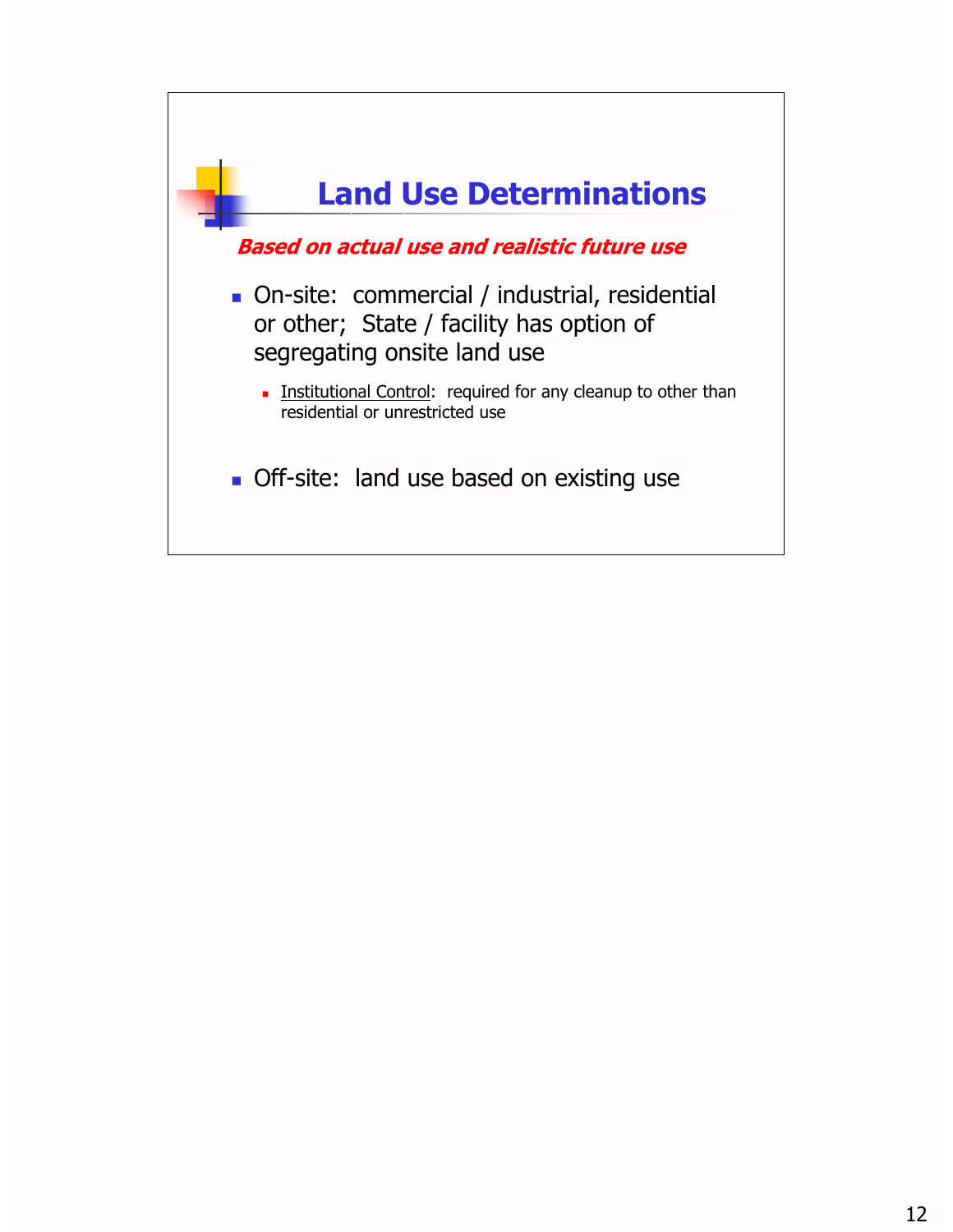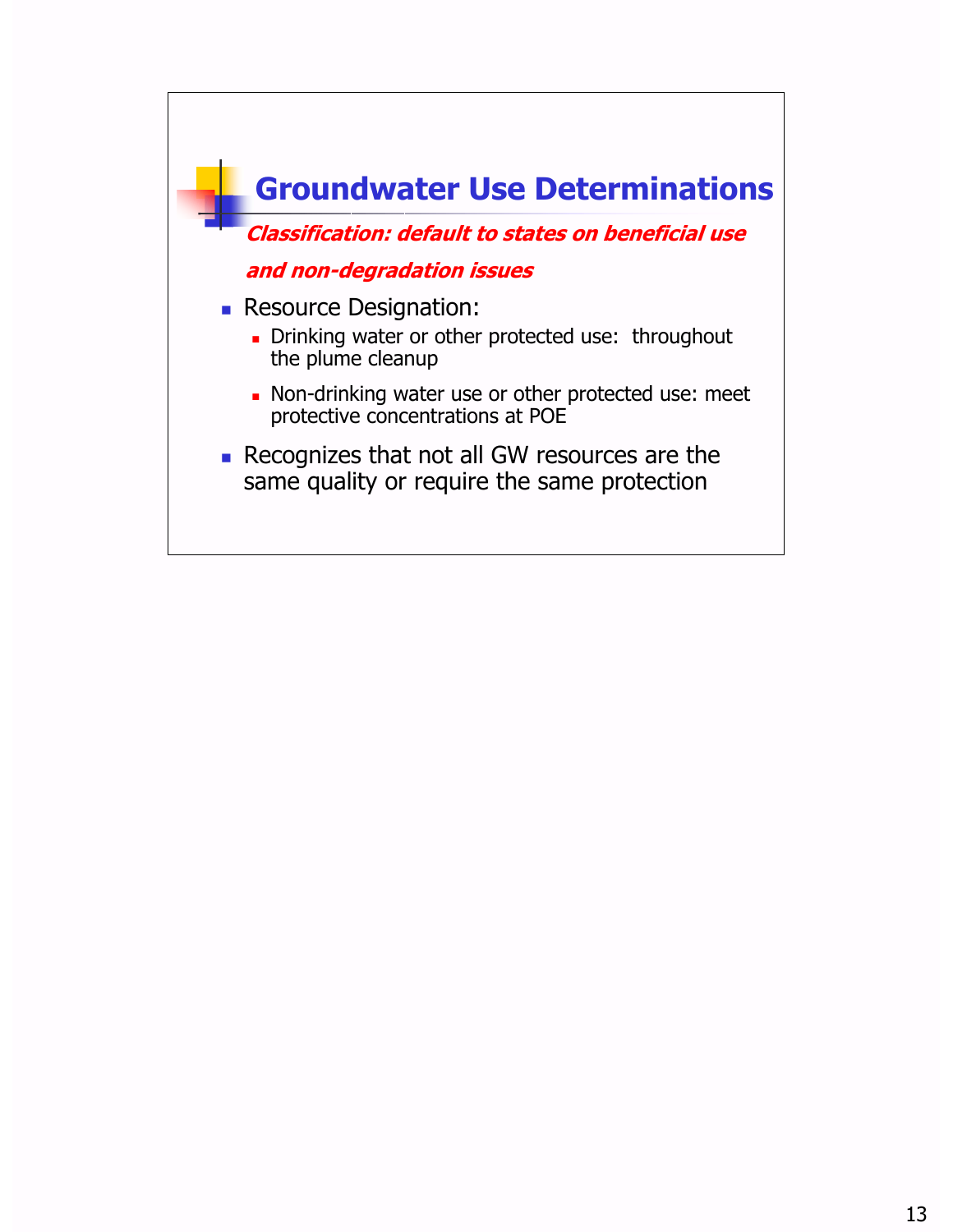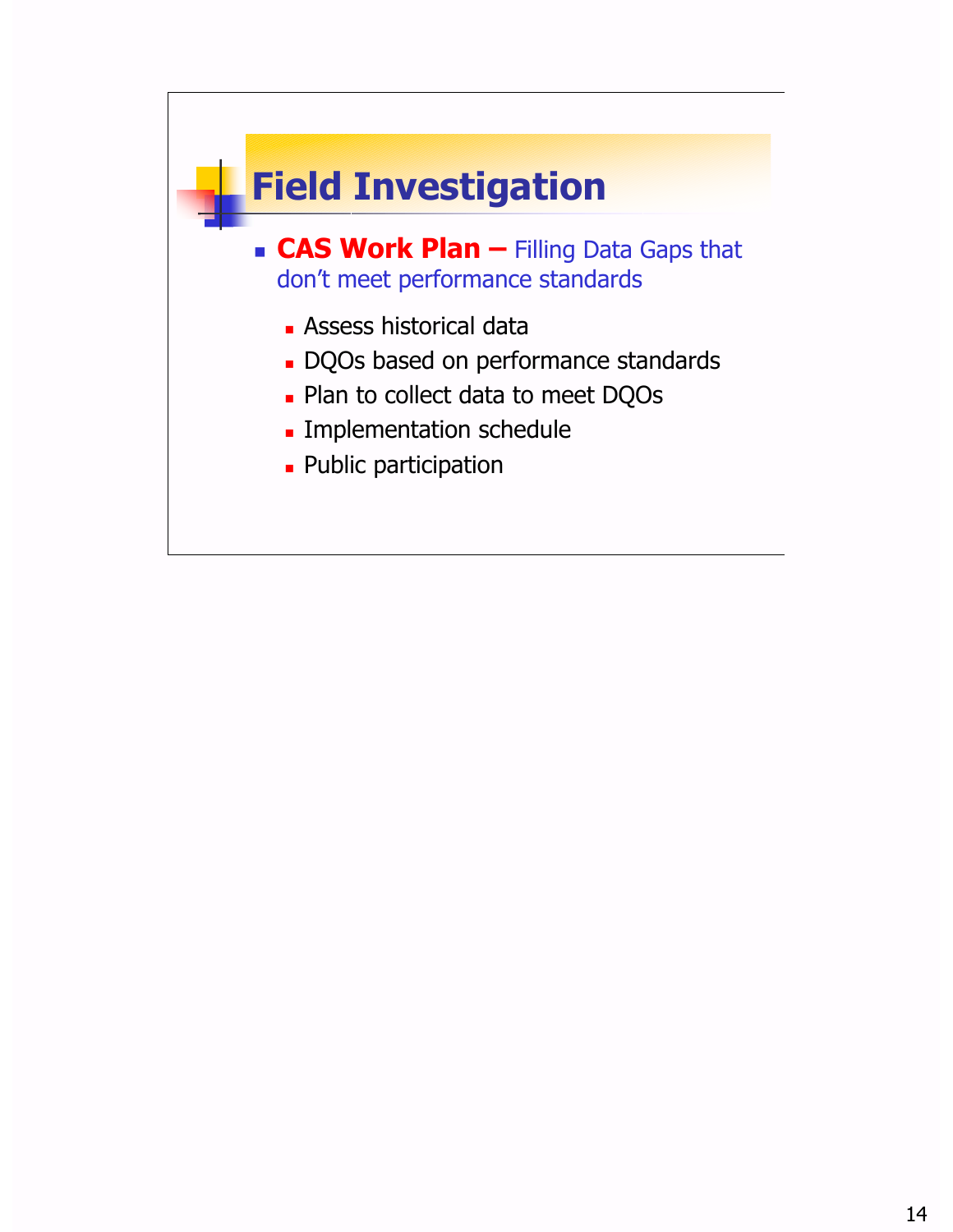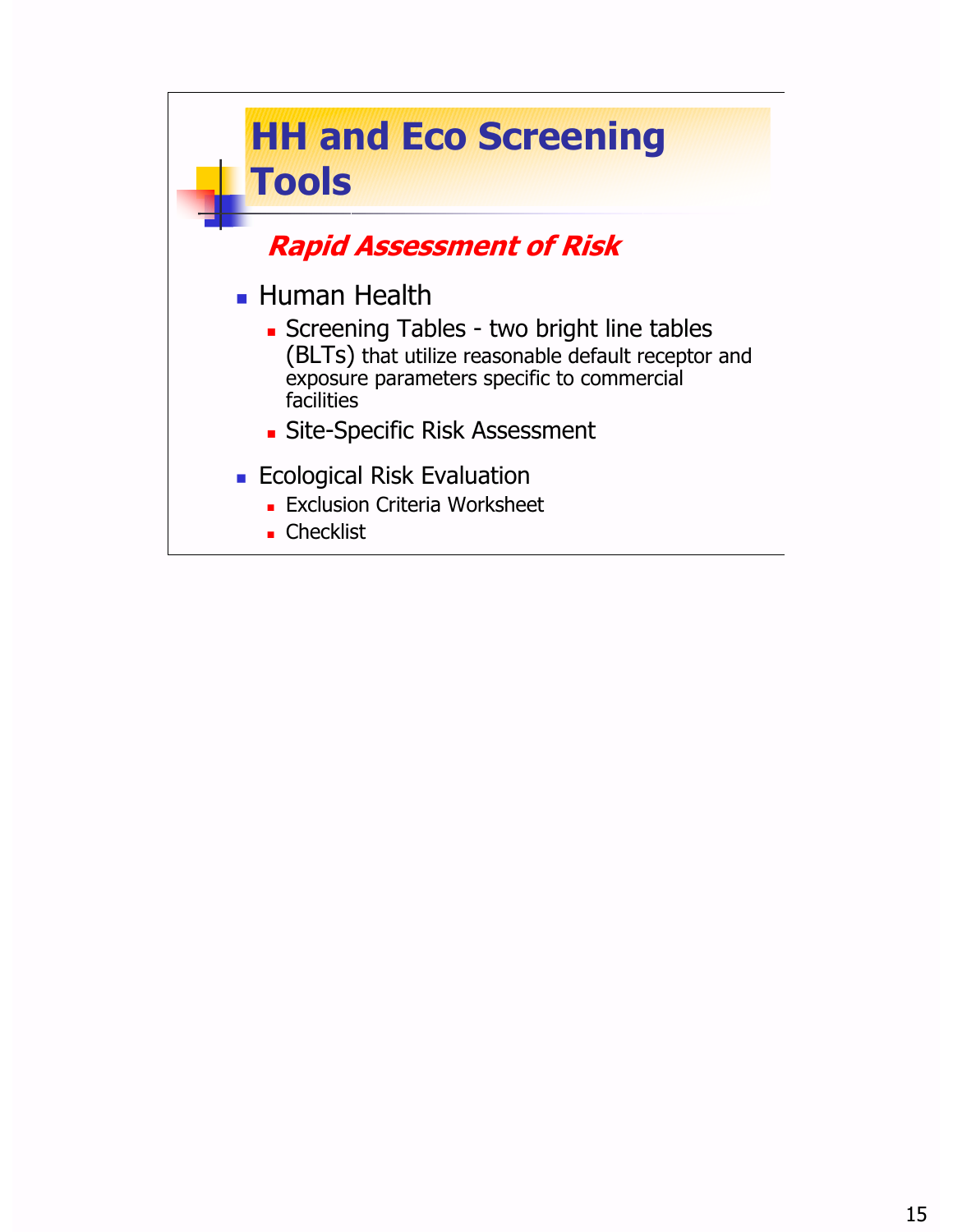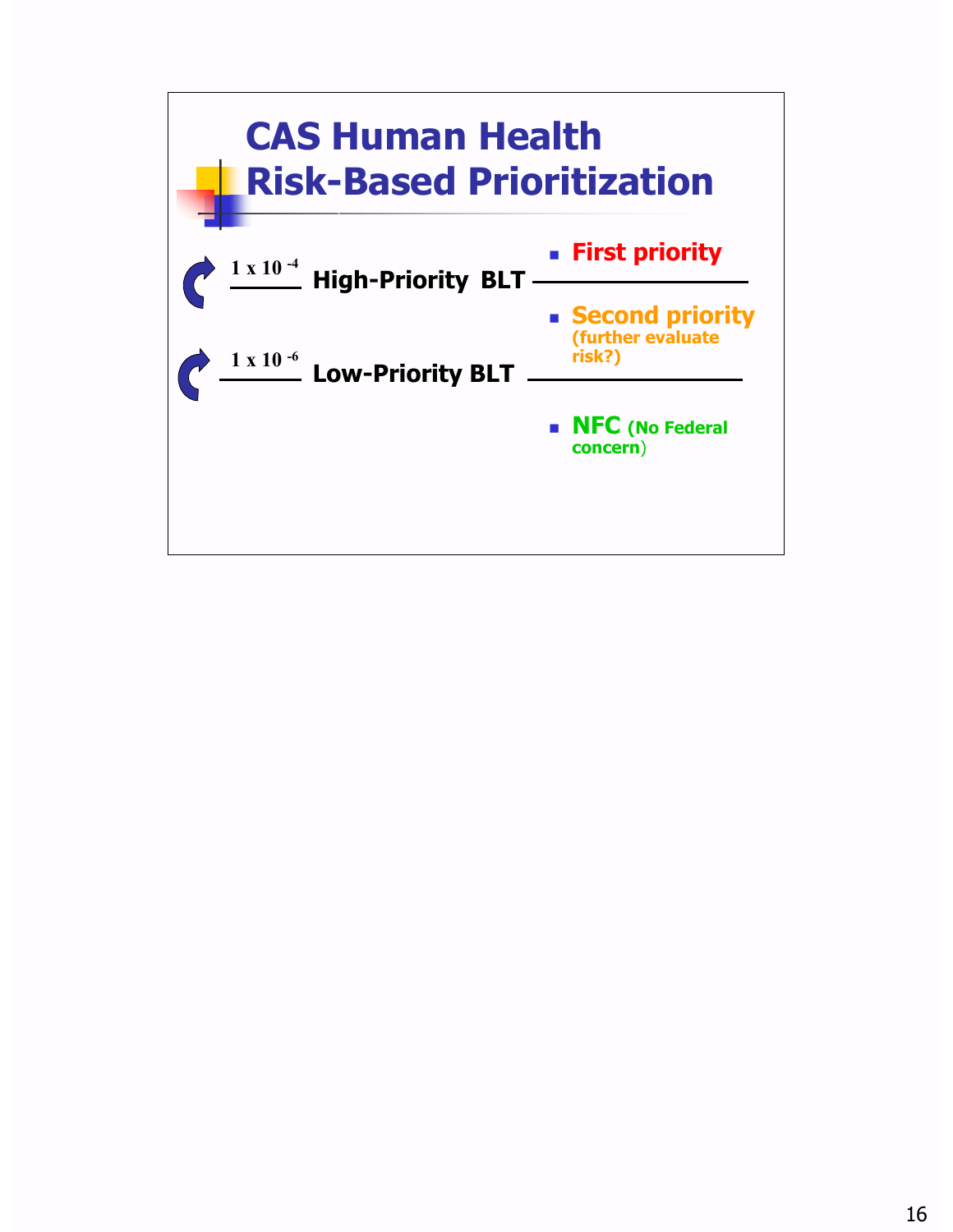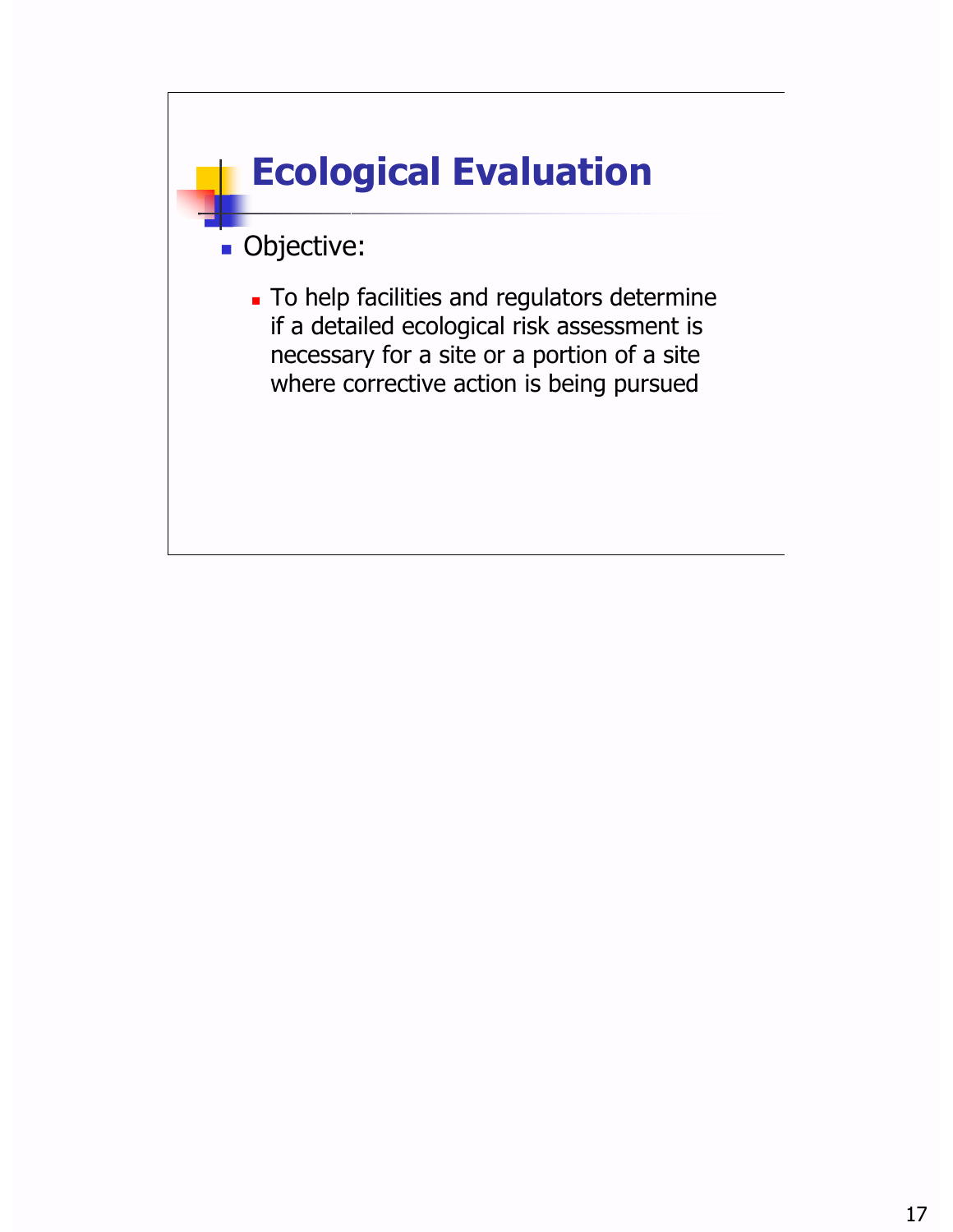### **Ecological Evaluation**

#### **· Objective:**

• To help facilities and regulators determine if a detailed ecological risk assessment is necessary for a site or a portion of a site where corrective action is being pursued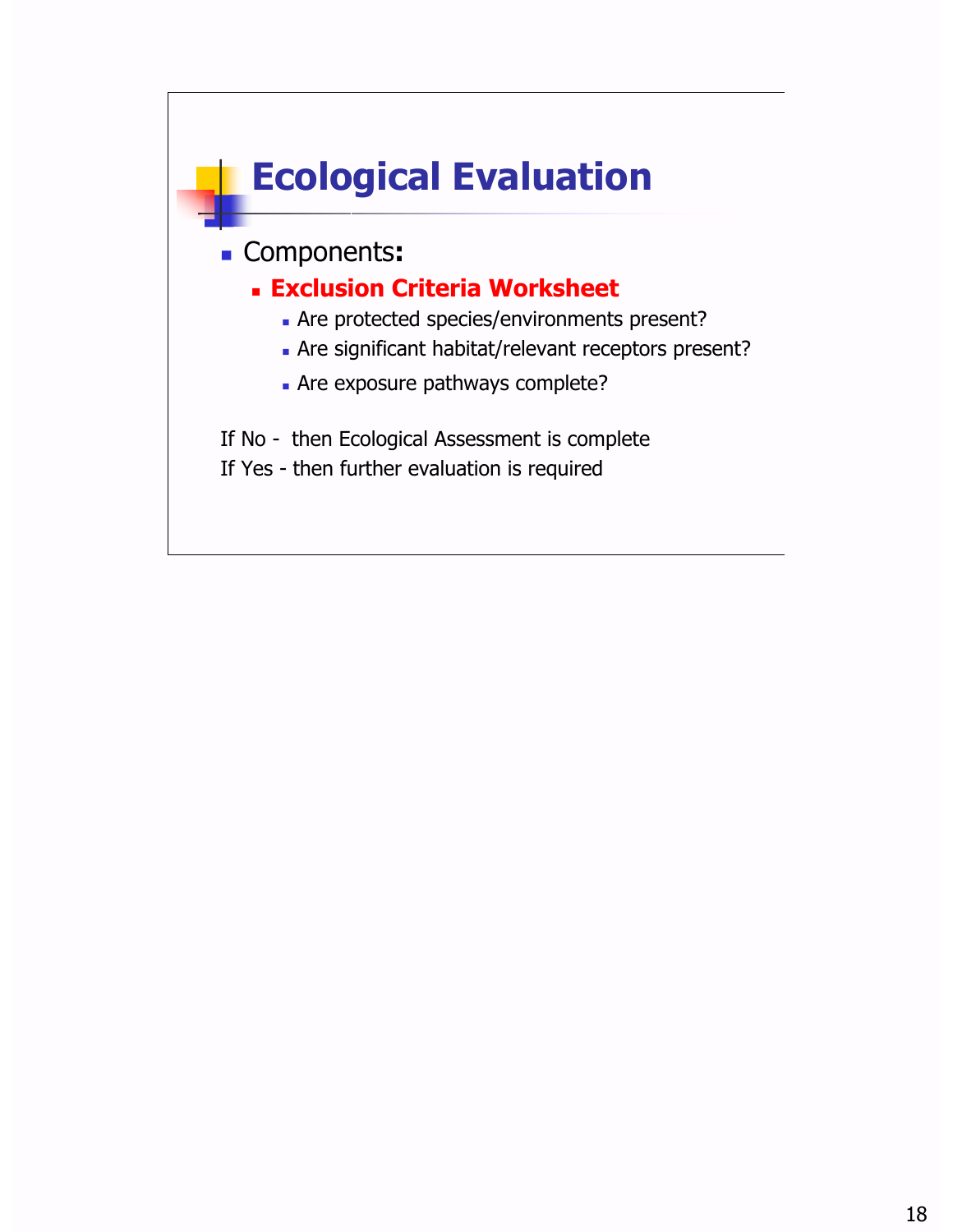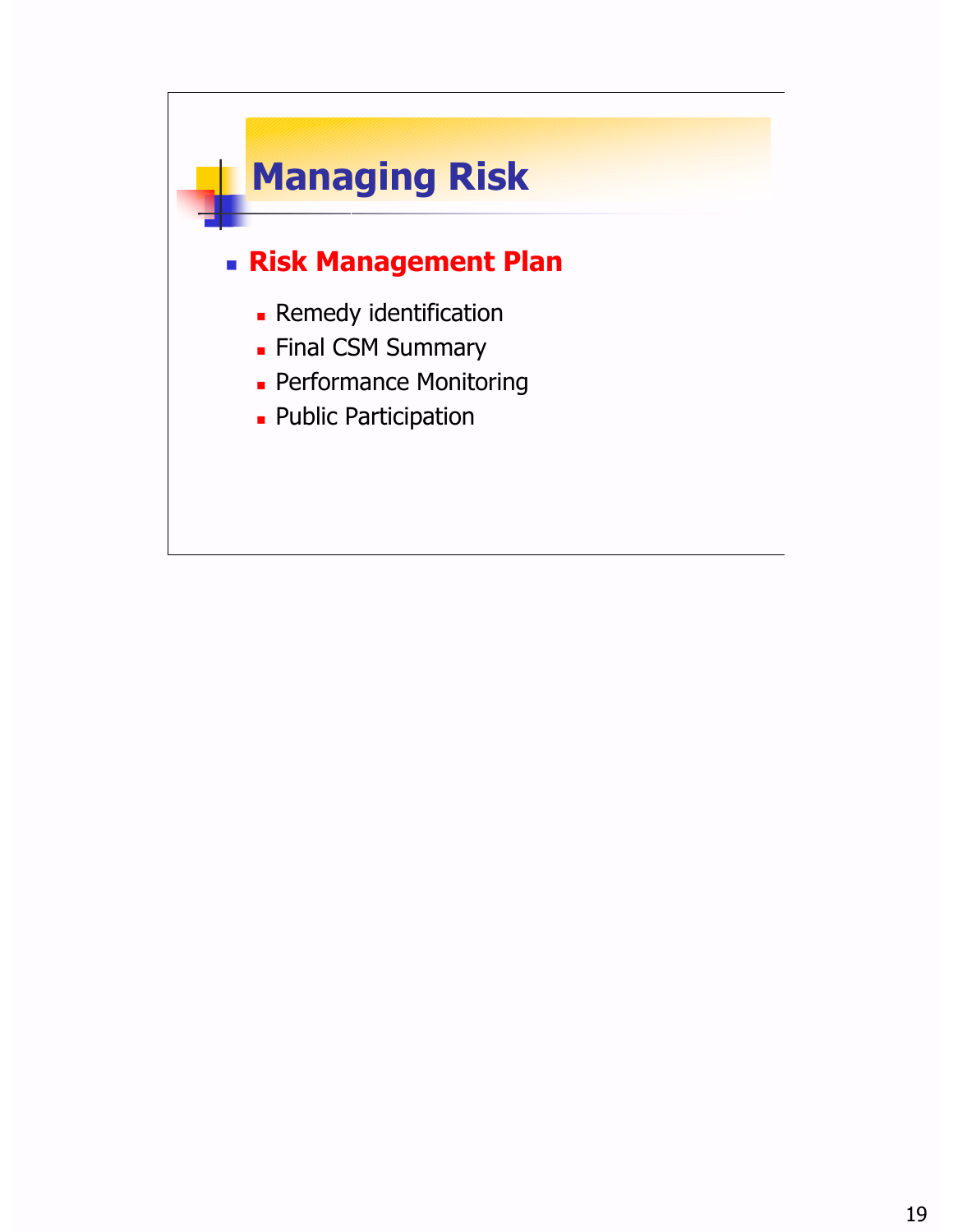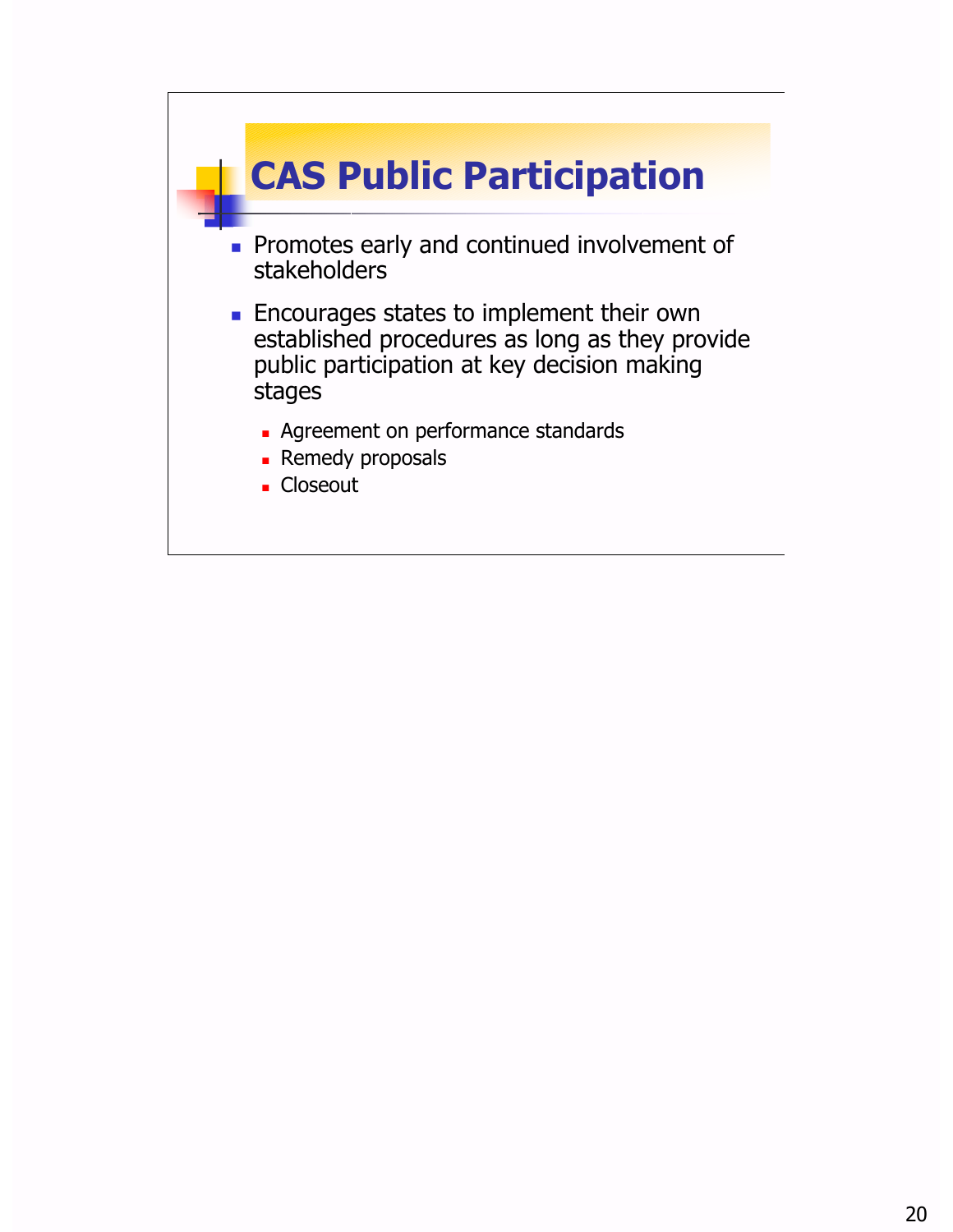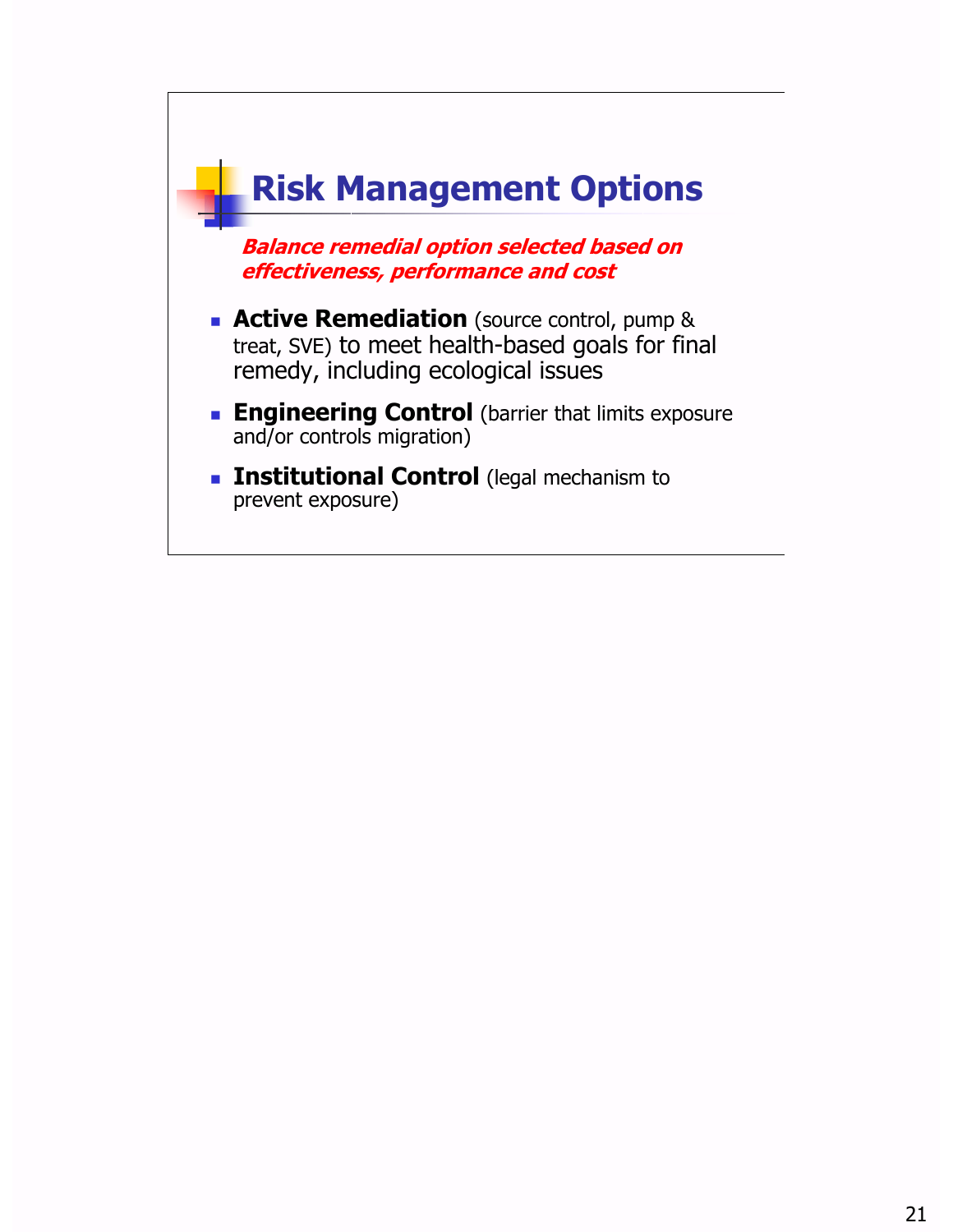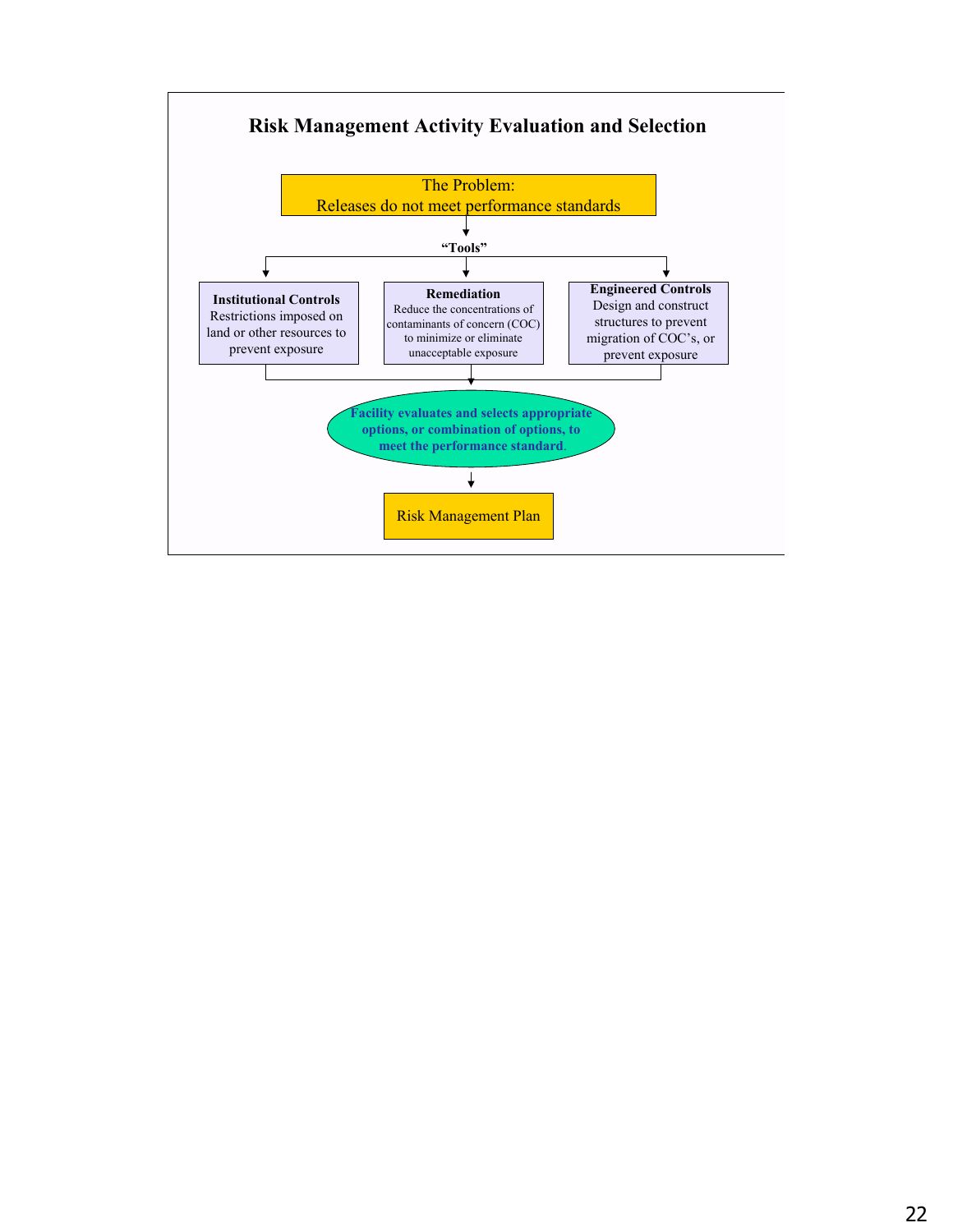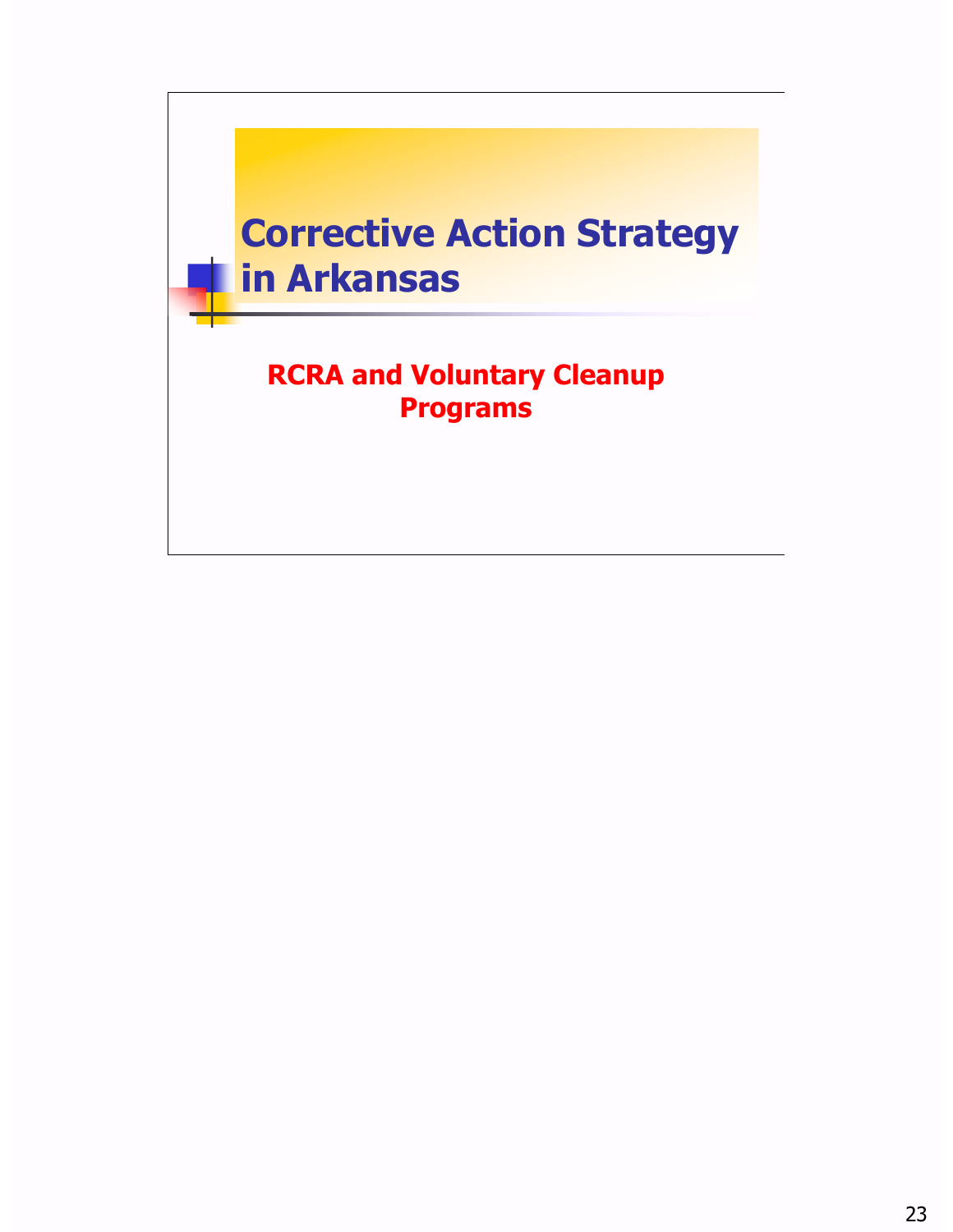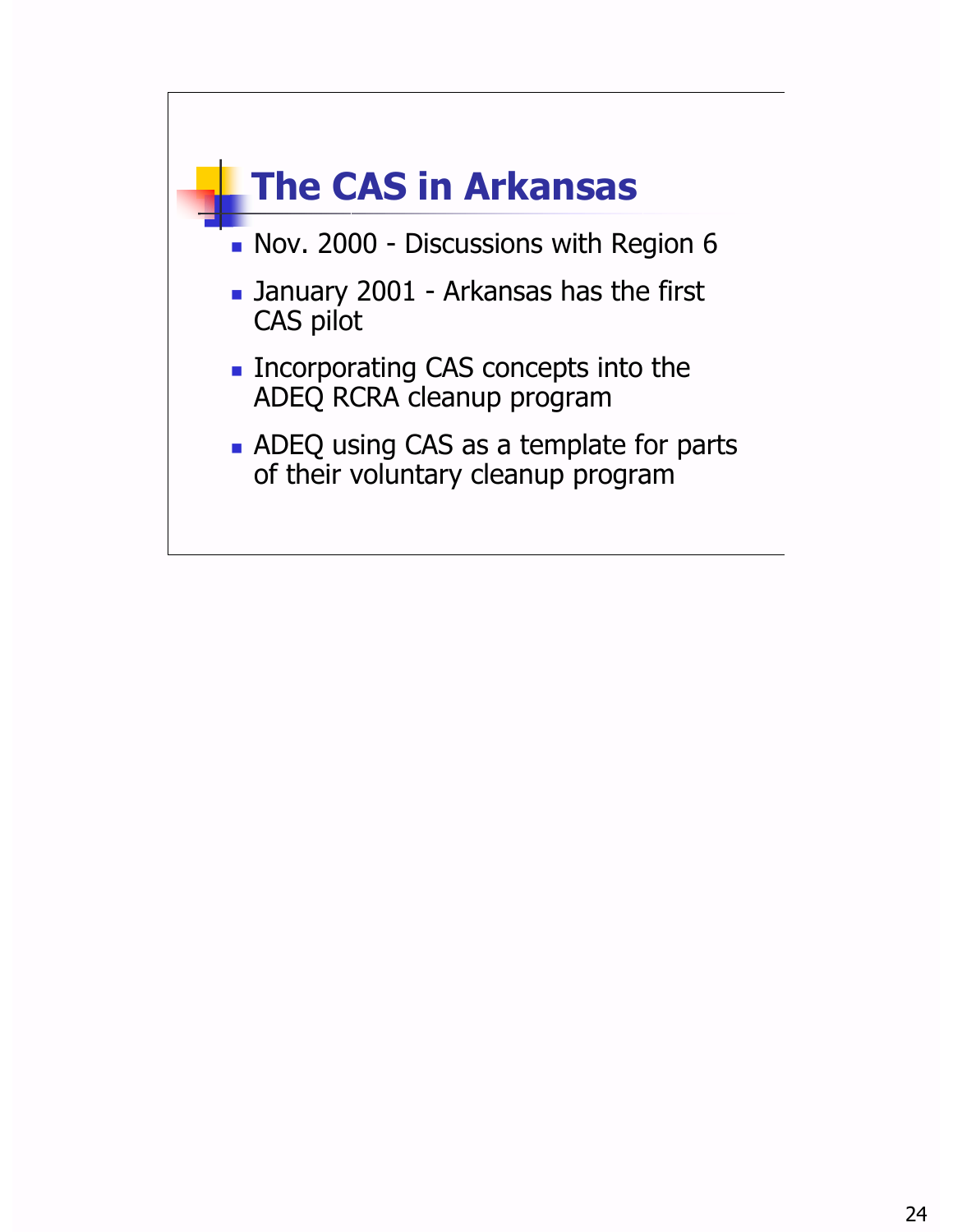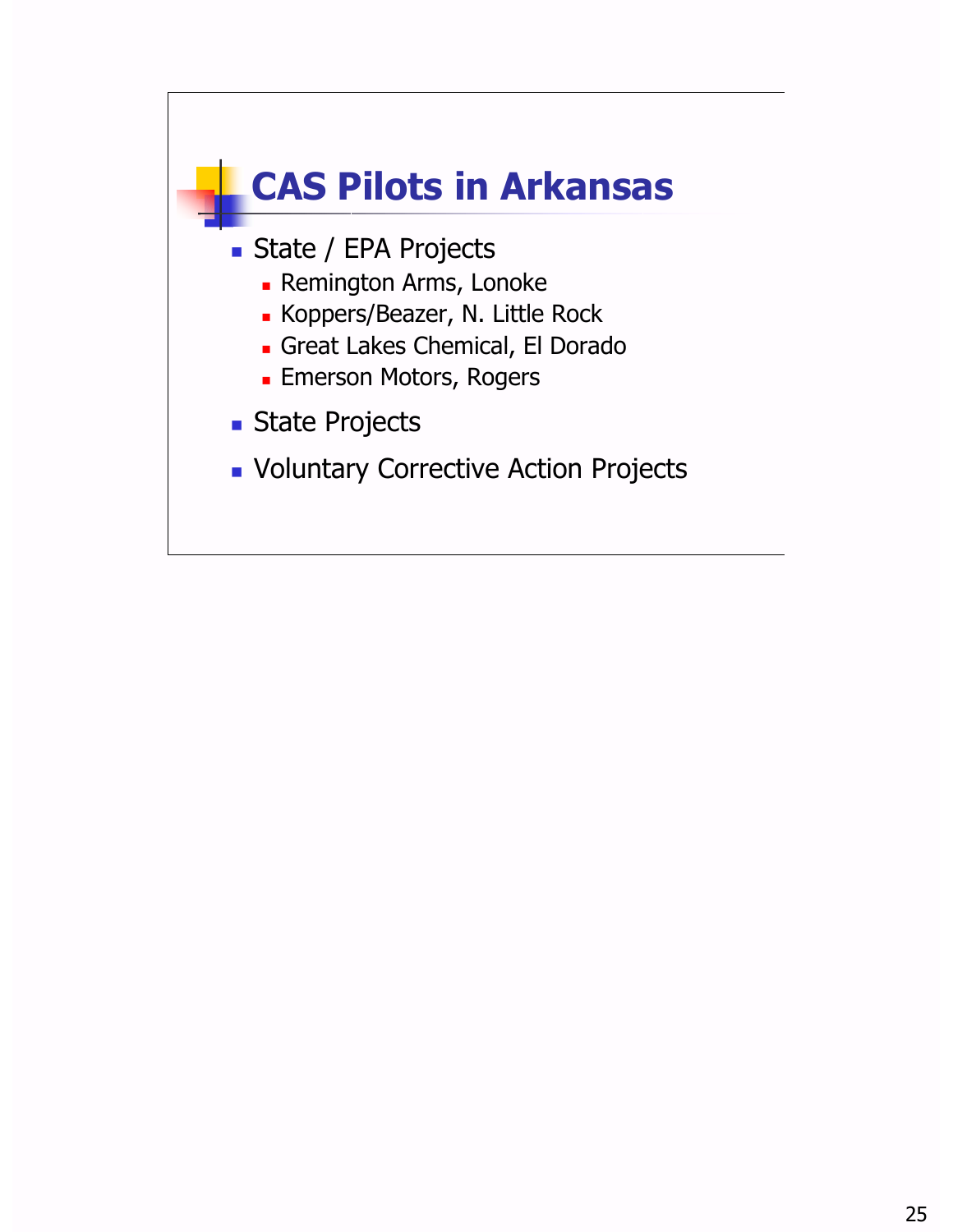![](_page_24_Figure_0.jpeg)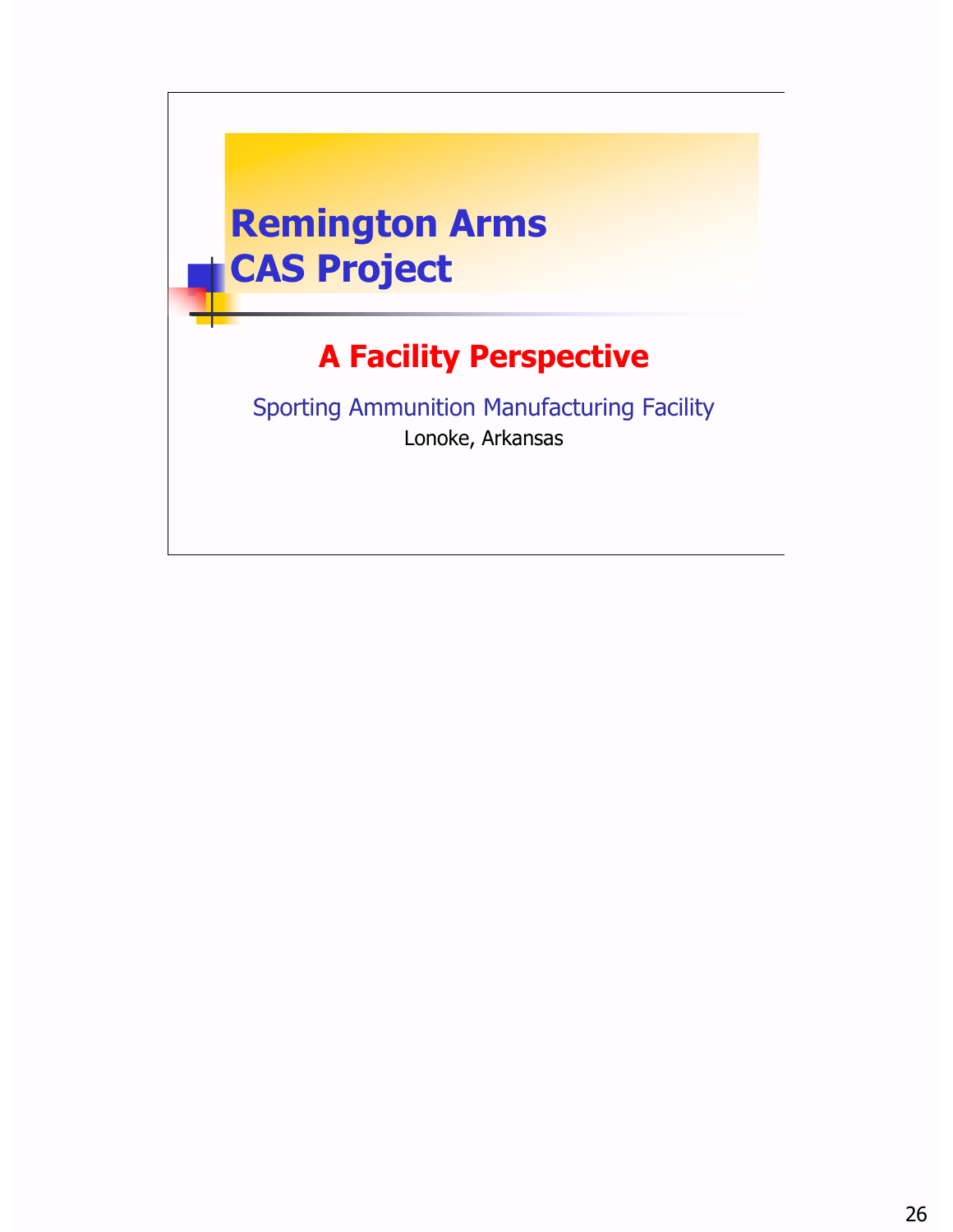![](_page_25_Picture_0.jpeg)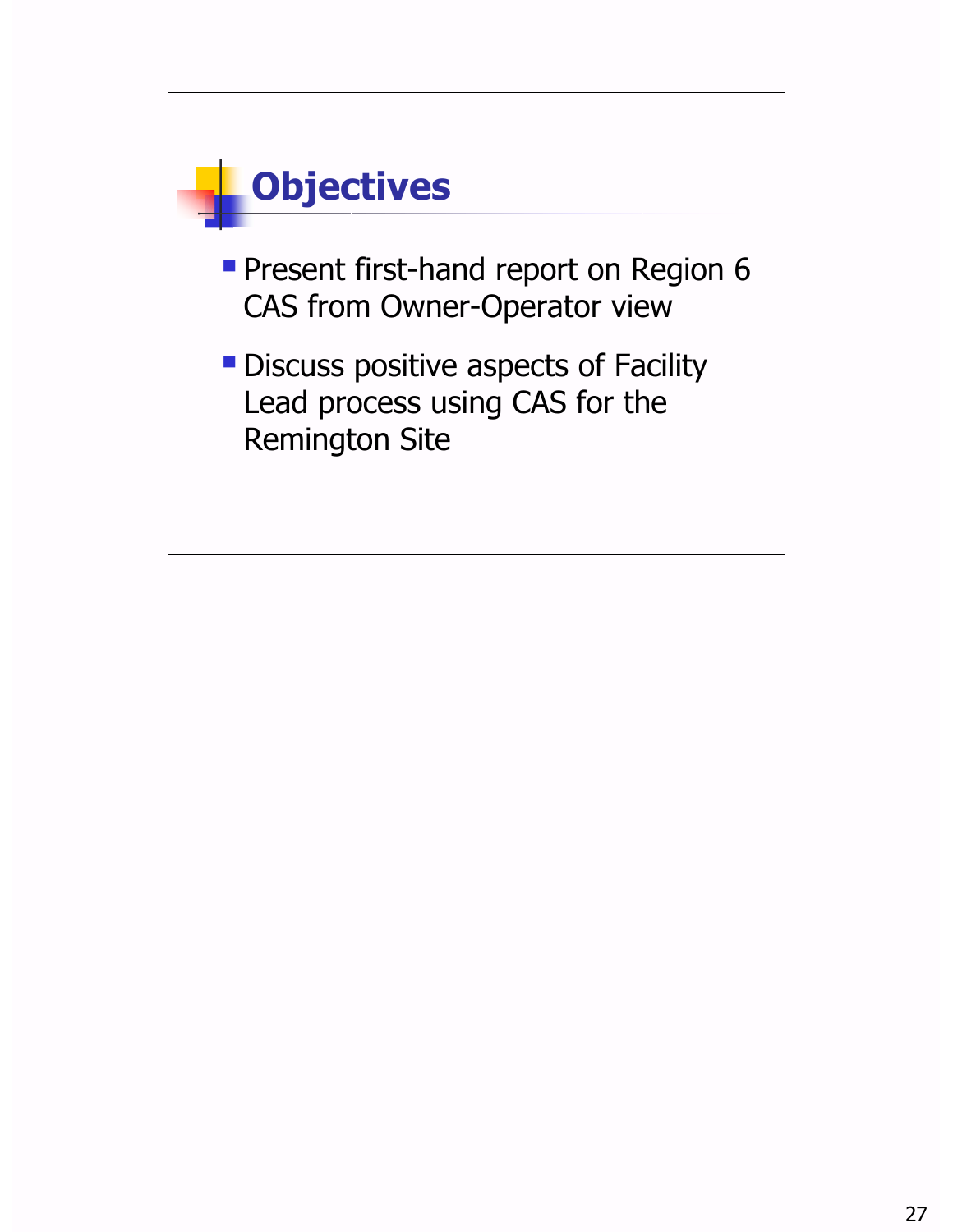![](_page_26_Figure_0.jpeg)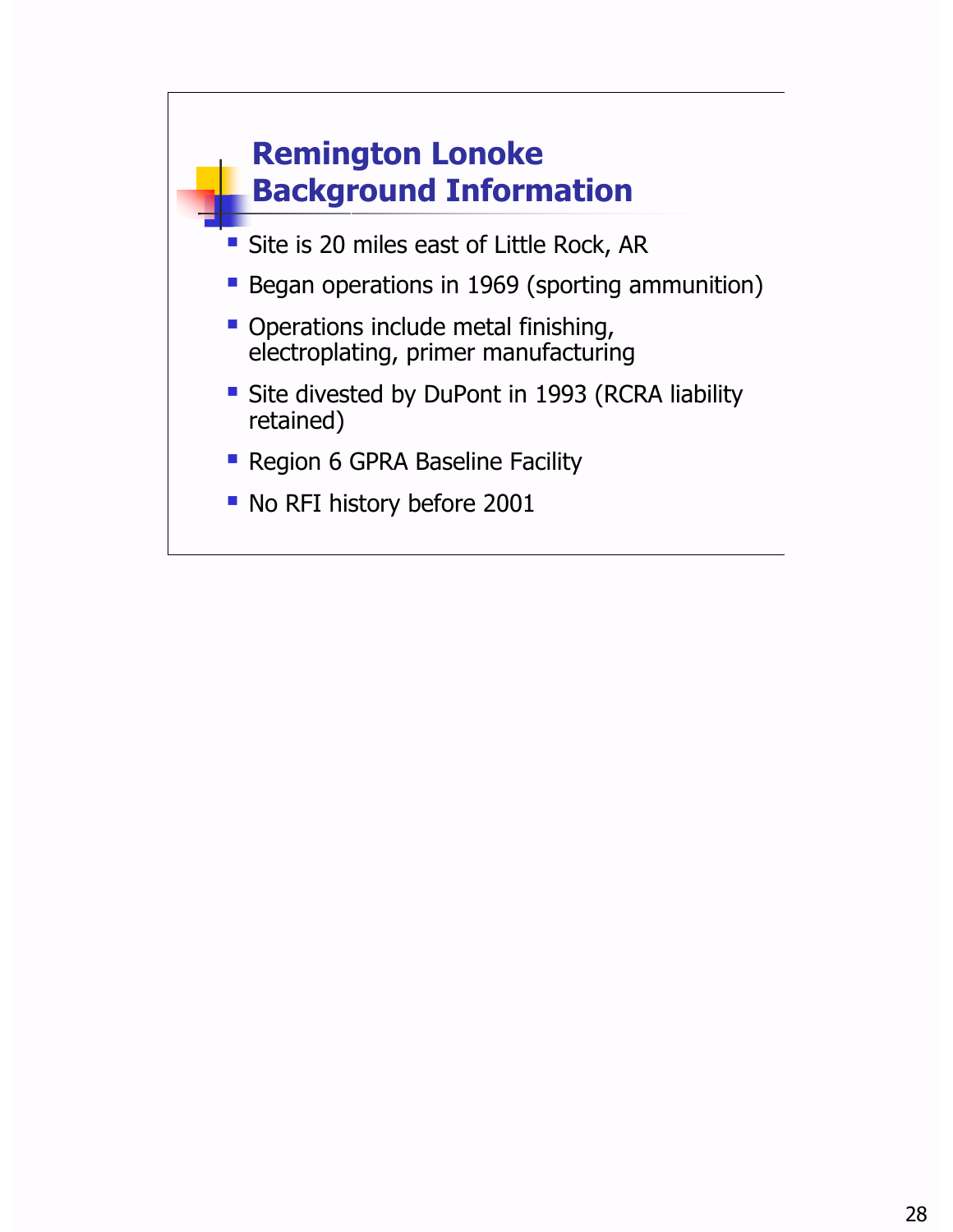![](_page_27_Figure_0.jpeg)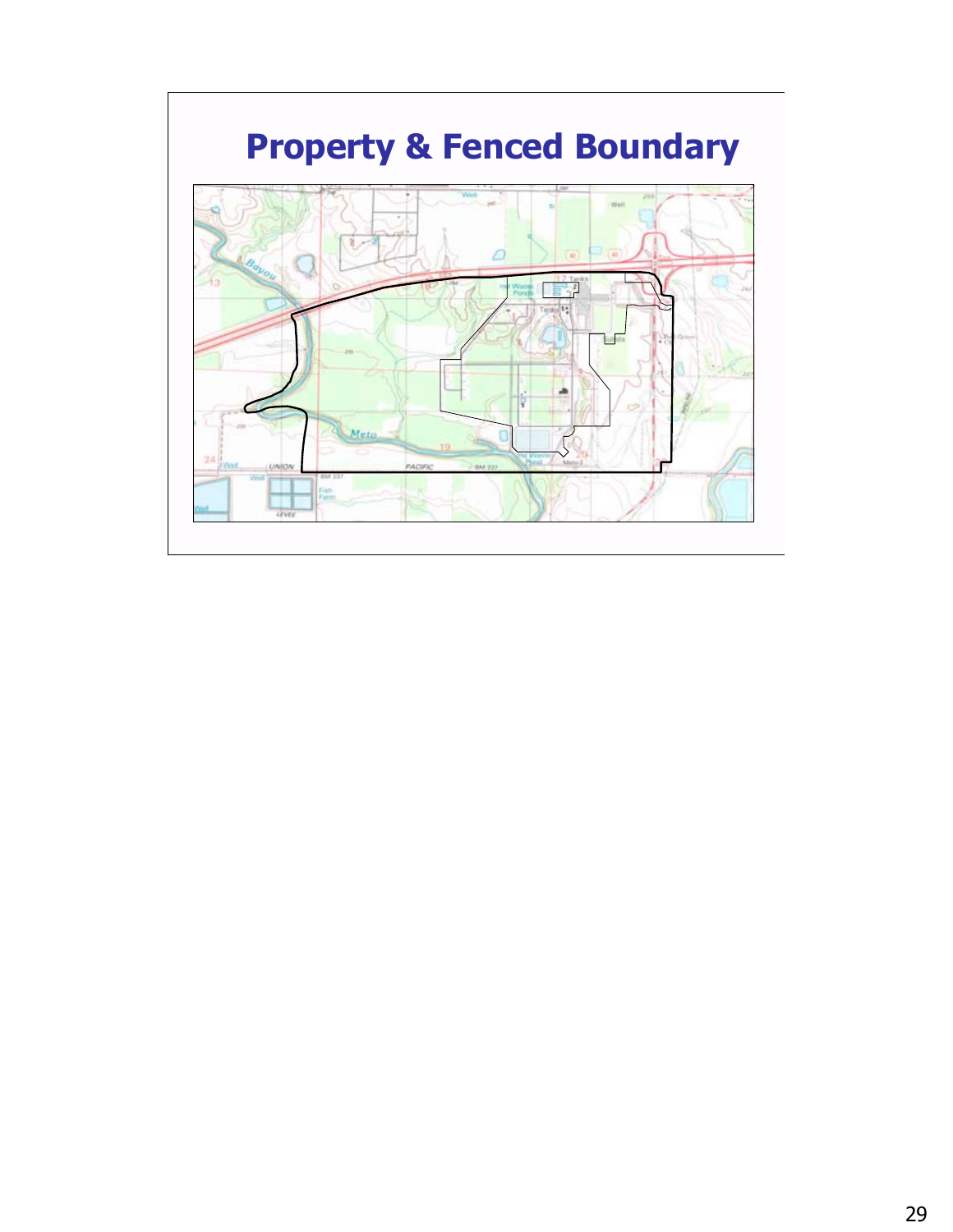![](_page_28_Figure_0.jpeg)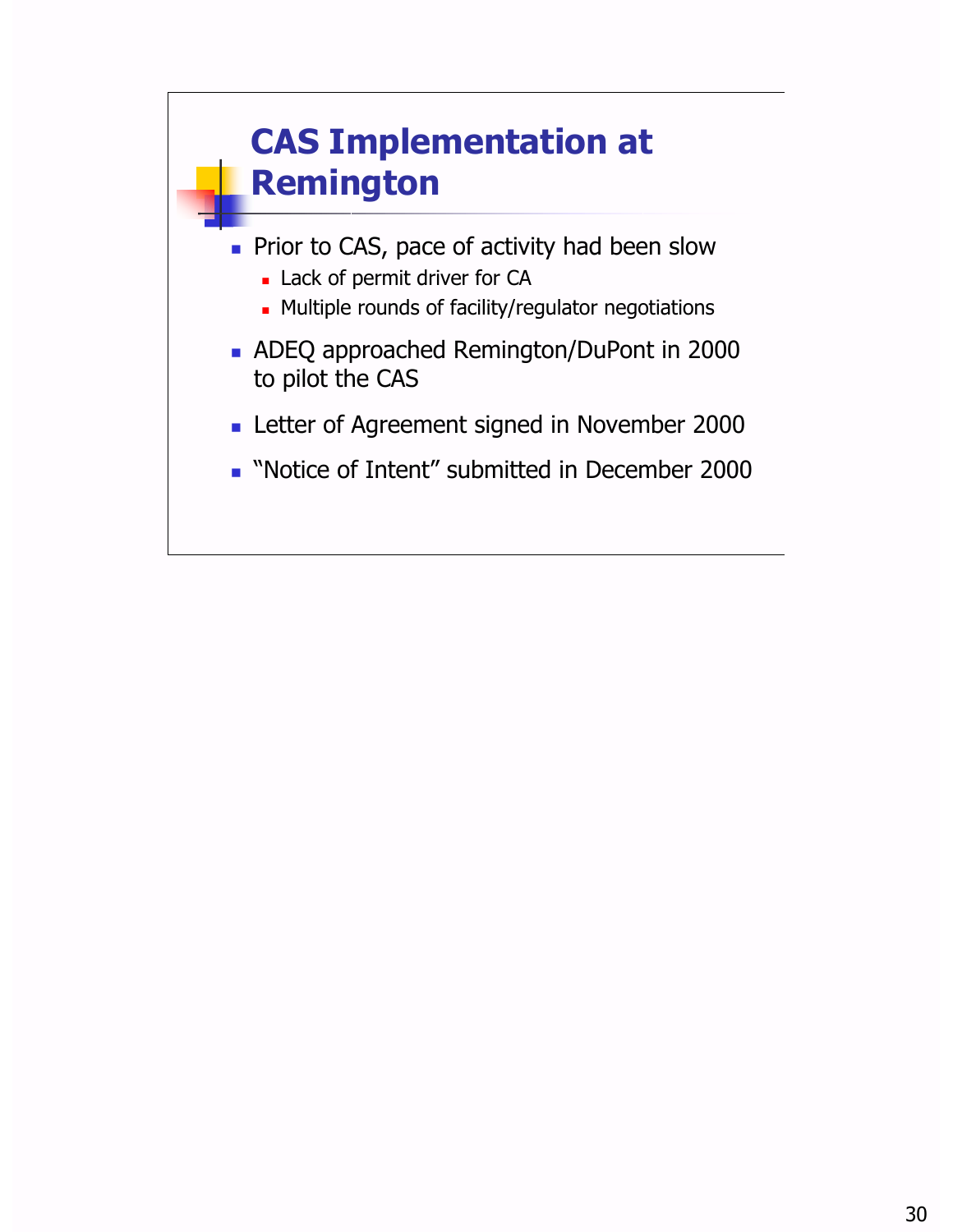![](_page_29_Figure_0.jpeg)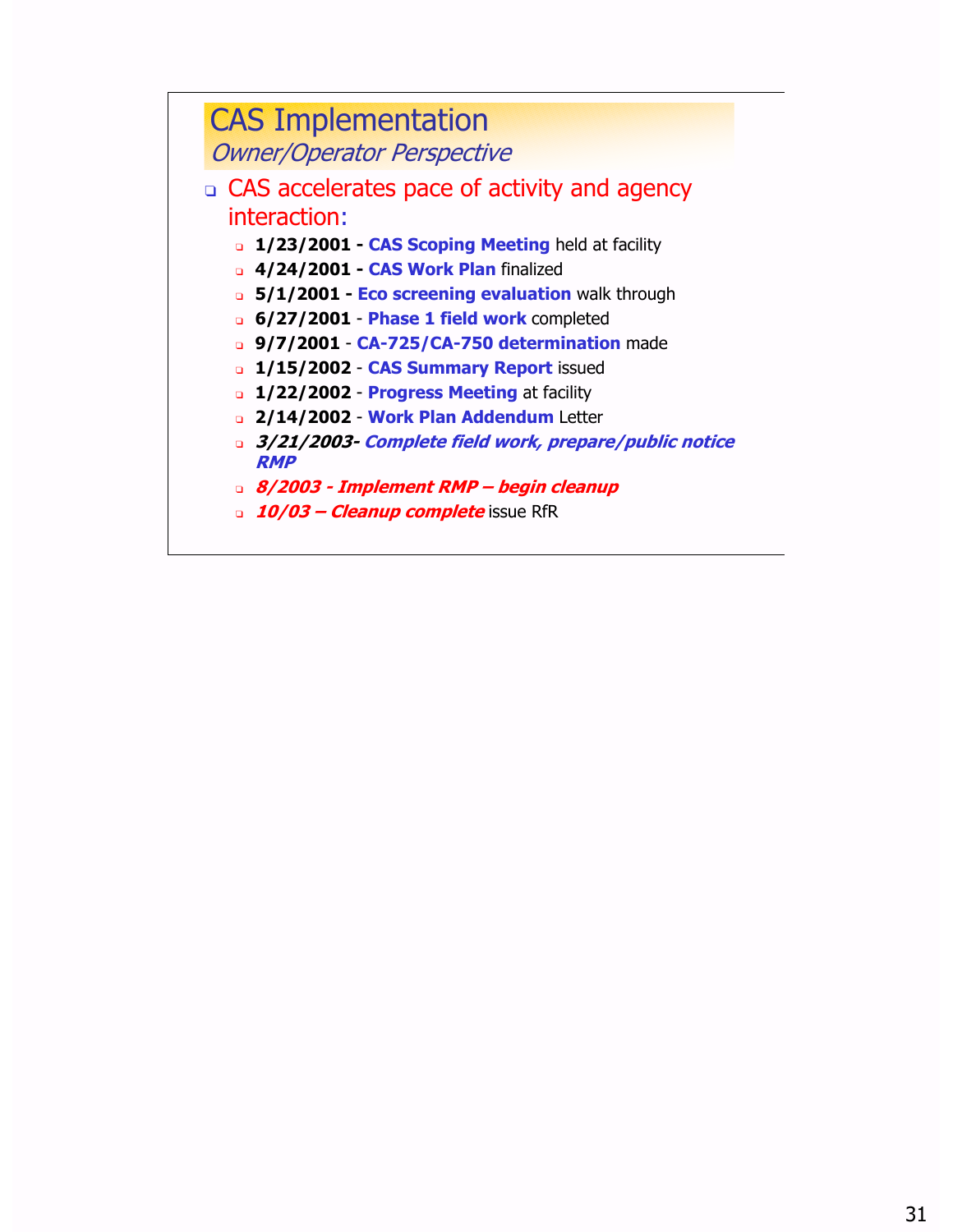#### CAS Implementation Owner/Operator Perspective

- <sup>q</sup> CAS accelerates pace of activity and agency interaction:
	- <sup>q</sup> **1/23/2001 - CAS Scoping Meeting** held at facility
	- <sup>q</sup> **4/24/2001 - CAS Work Plan** finalized
	- <sup>q</sup> **5/1/2001 - Eco screening evaluation** walk through
	- <sup>q</sup> **6/27/2001 Phase 1 field work** completed
	- <sup>q</sup> **9/7/2001 CA-725/CA-750 determination** made
	- <sup>q</sup> **1/15/2002 CAS Summary Report** issued
	- <sup>q</sup> **1/22/2002 Progress Meeting** at facility
	- <sup>q</sup> **2/14/2002 Work Plan Addendum** Letter
	- <sup>q</sup> **3/21/2003- Complete field work, prepare/public notice RMP**
	- <sup>q</sup> **8/2003 - Implement RMP œ begin cleanup**
	- **a 10/03 Cleanup complete** issue RfR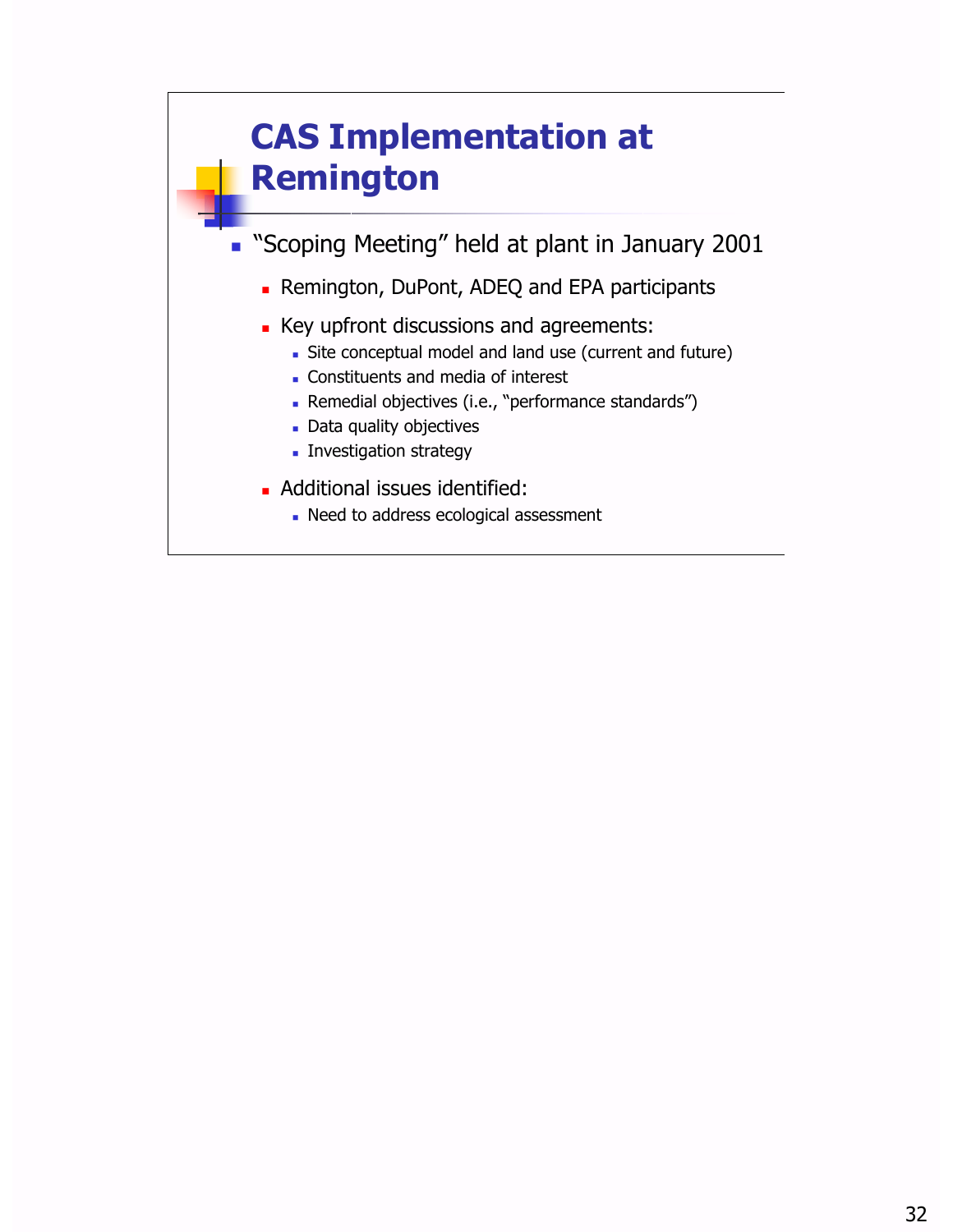![](_page_31_Figure_0.jpeg)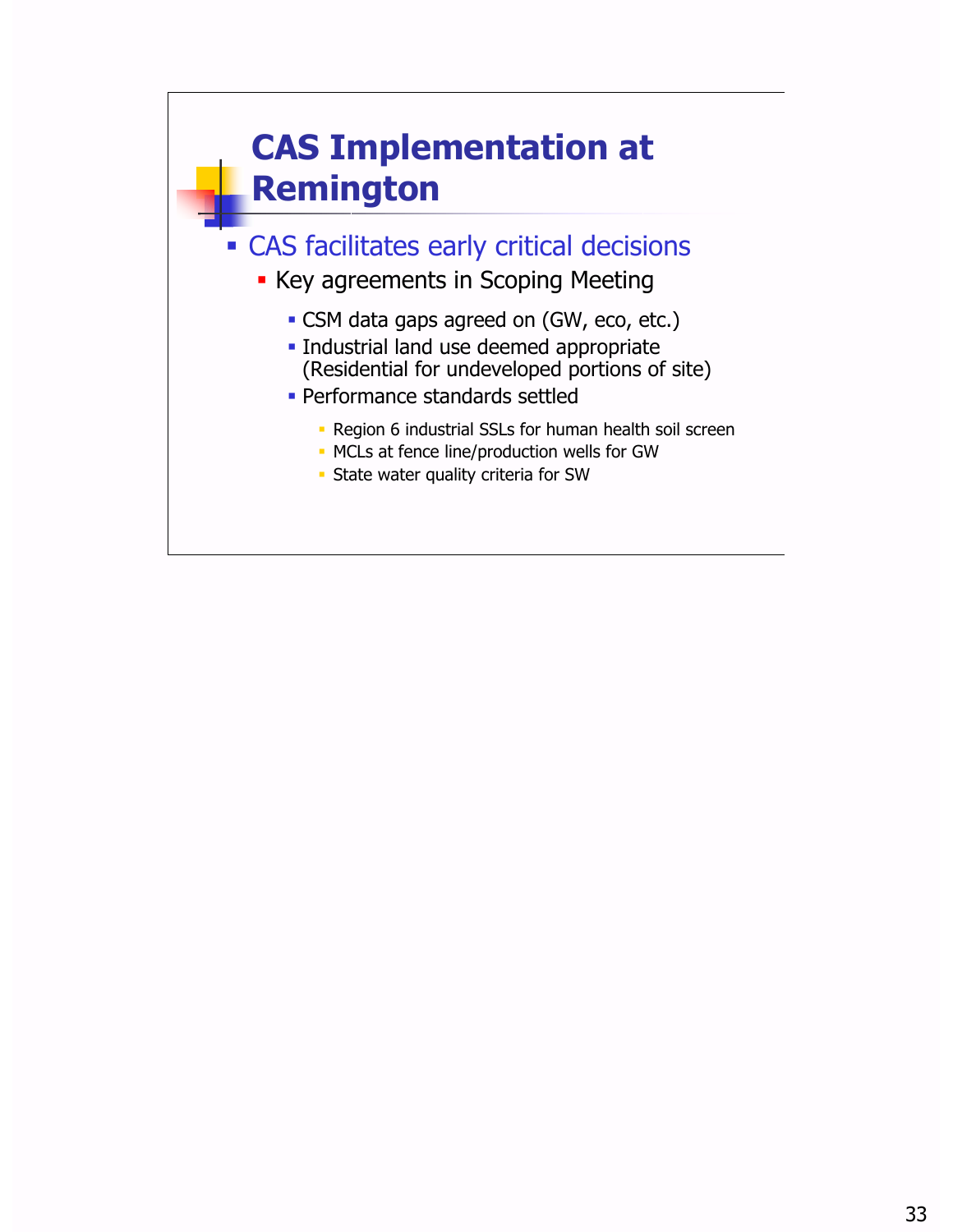![](_page_32_Figure_0.jpeg)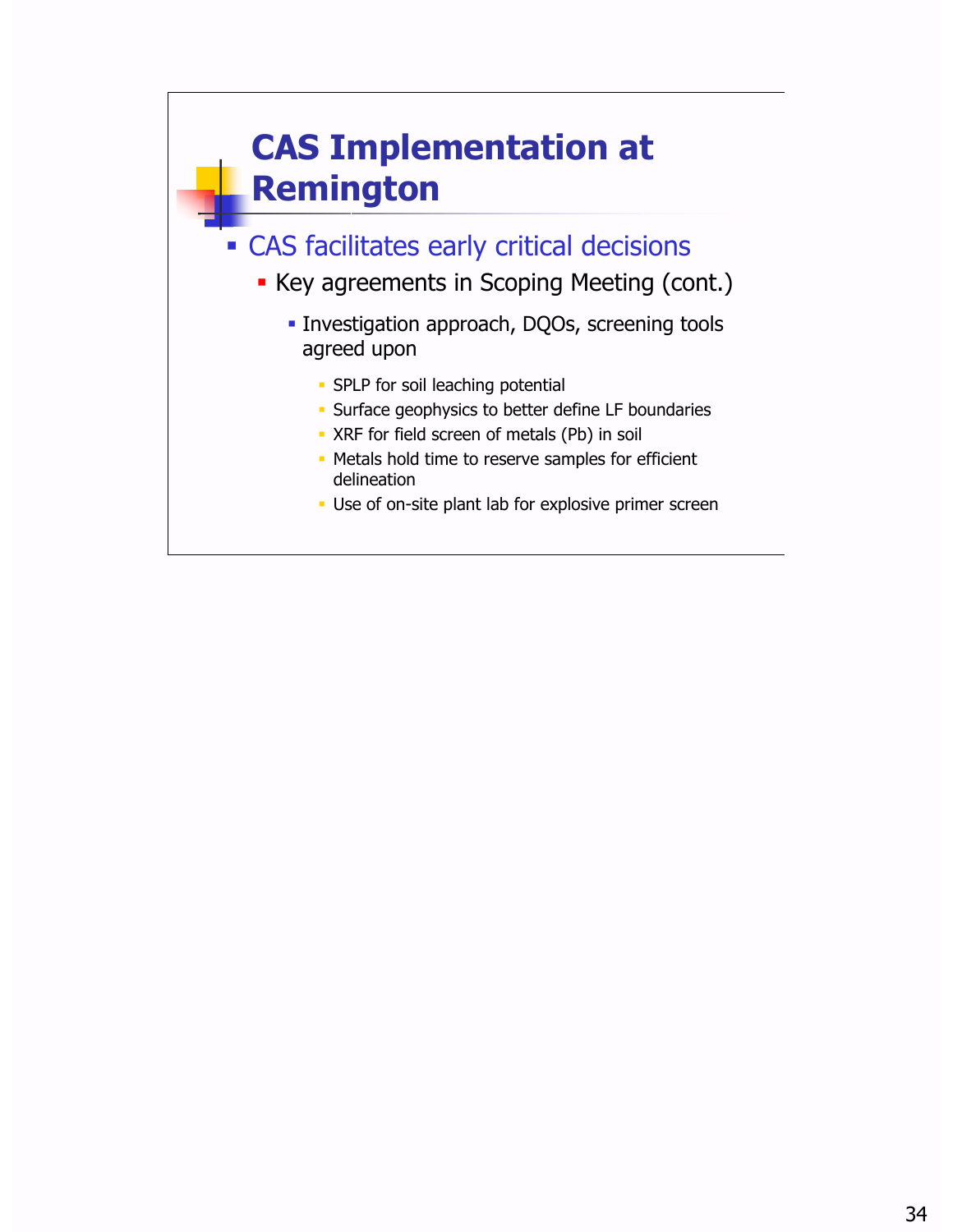![](_page_33_Figure_0.jpeg)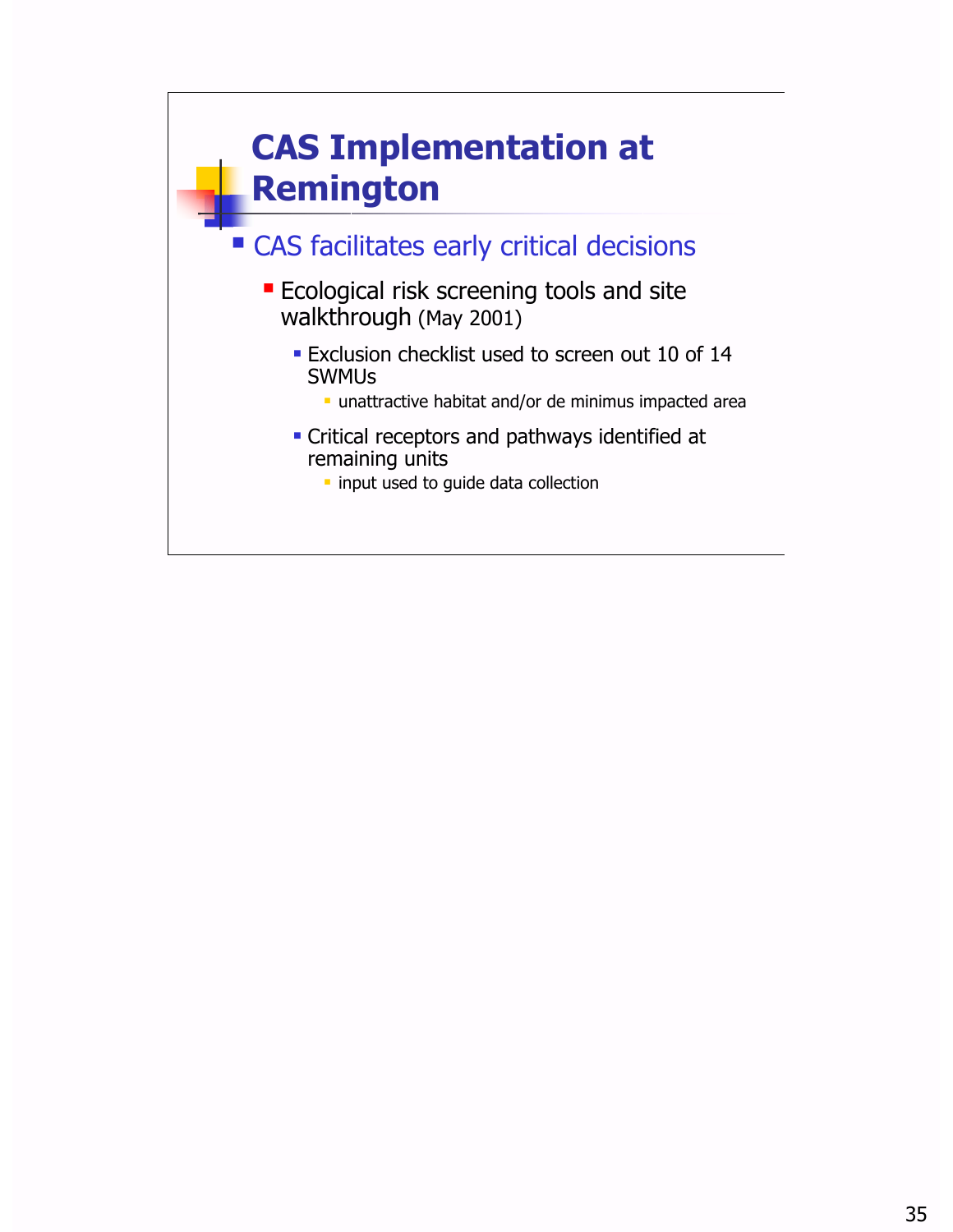![](_page_34_Figure_0.jpeg)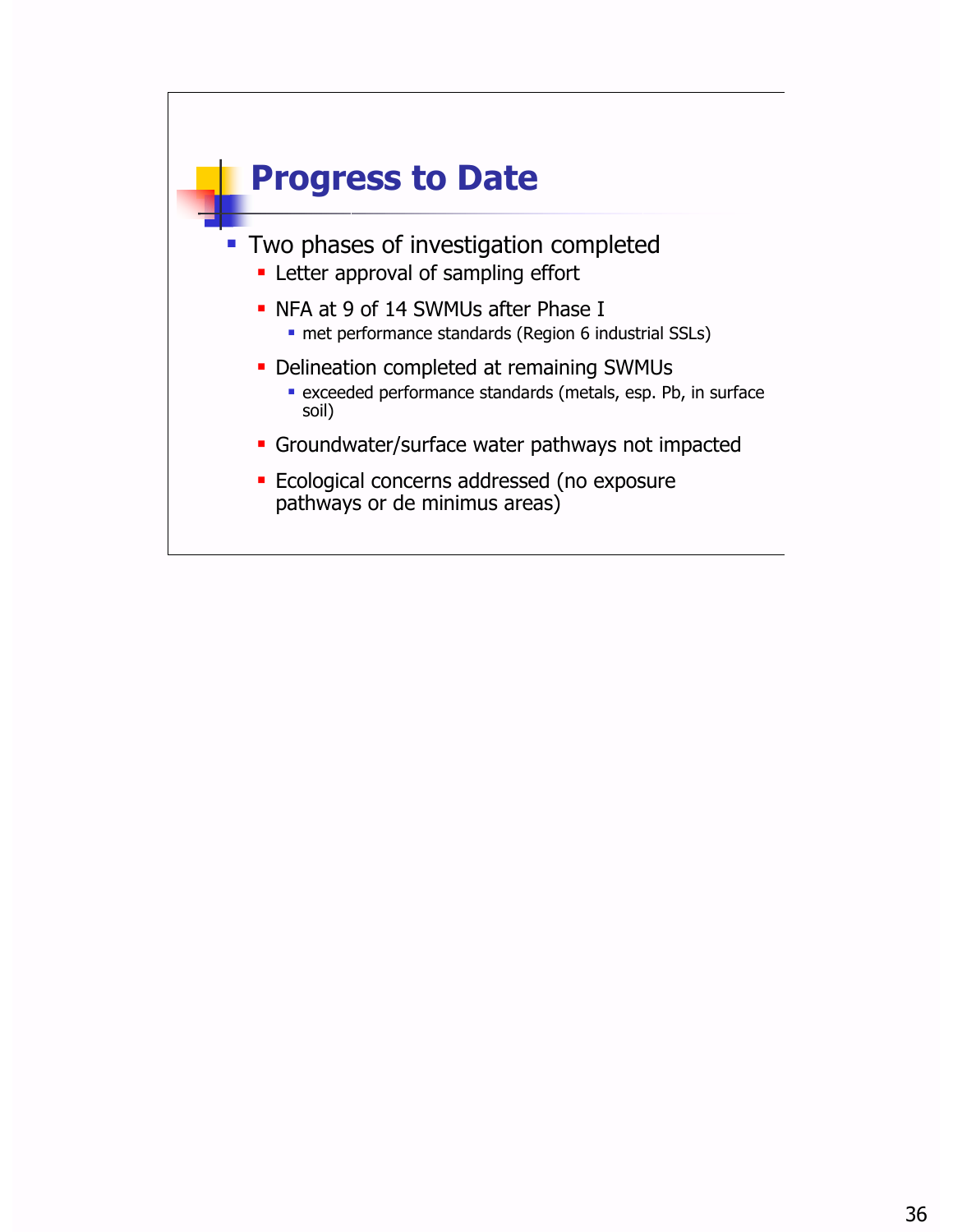![](_page_35_Figure_0.jpeg)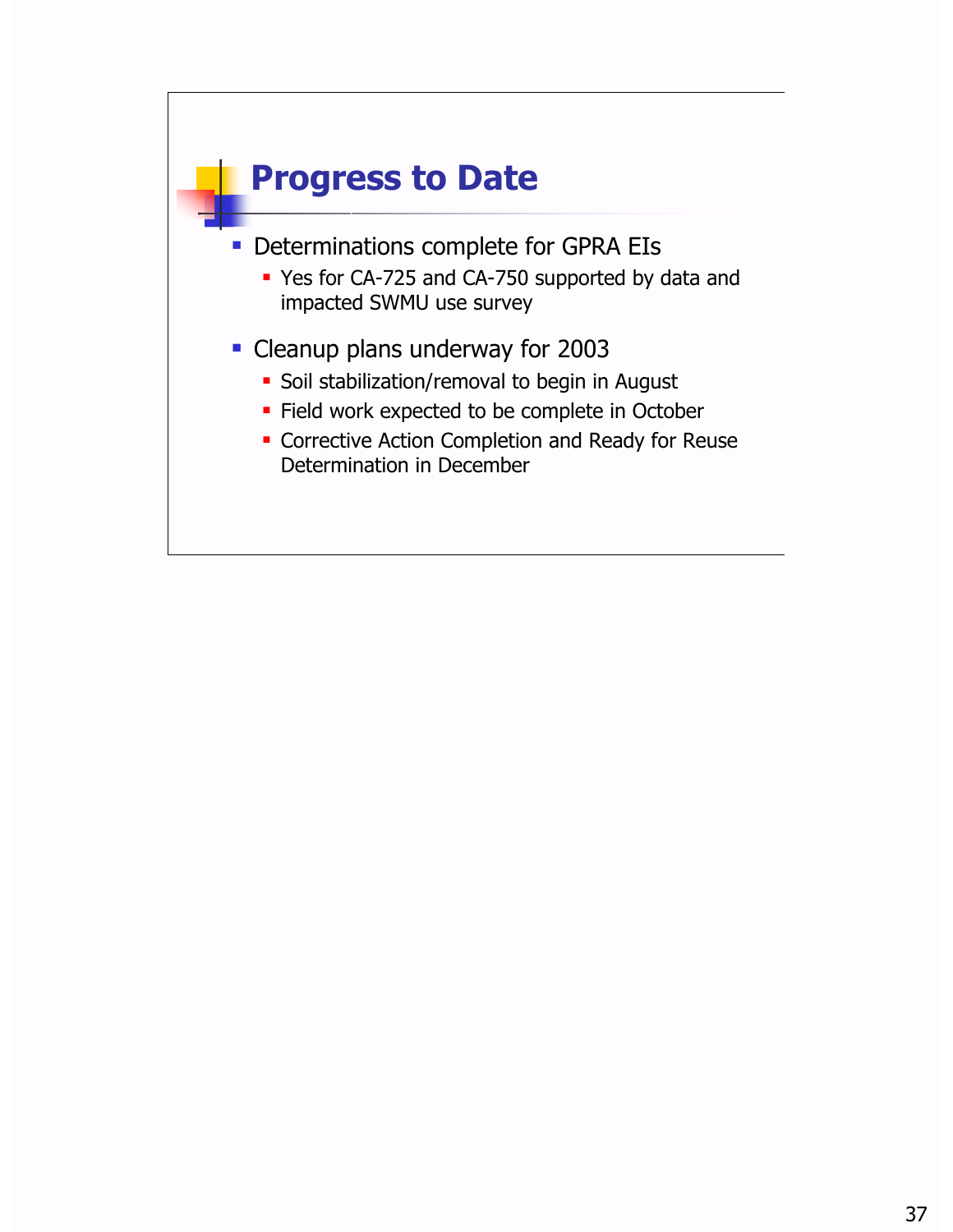![](_page_36_Figure_0.jpeg)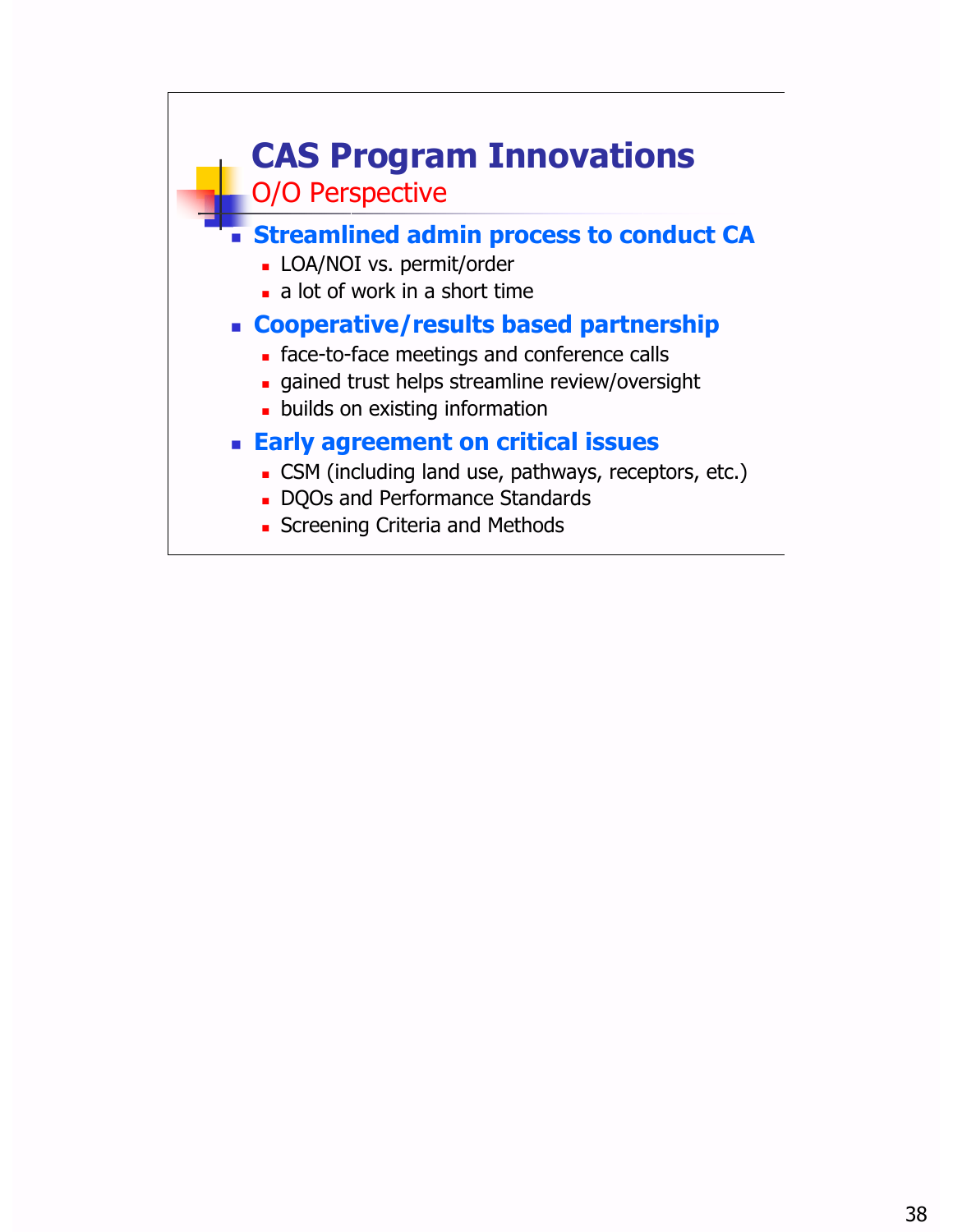![](_page_37_Figure_0.jpeg)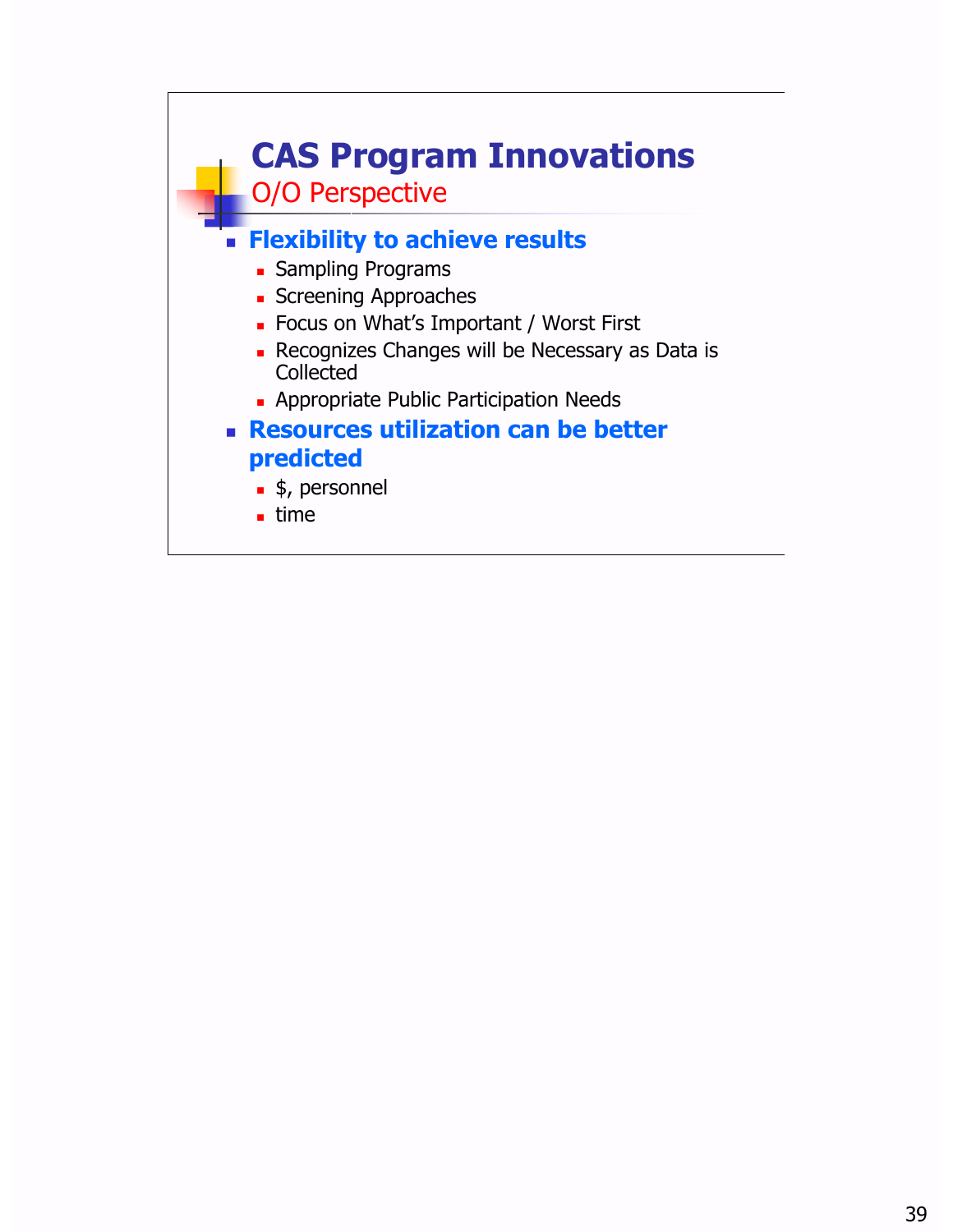![](_page_38_Figure_0.jpeg)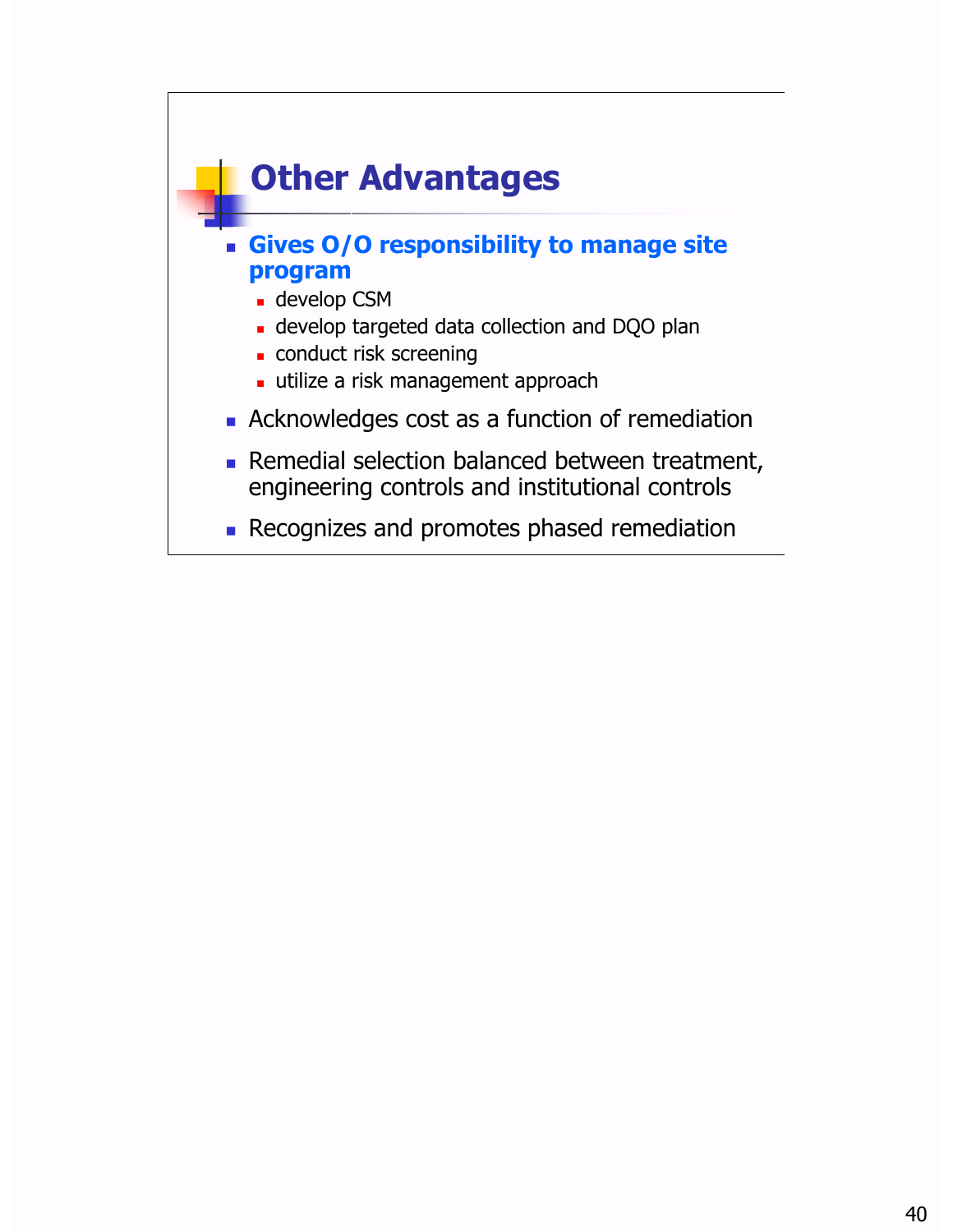![](_page_39_Figure_0.jpeg)